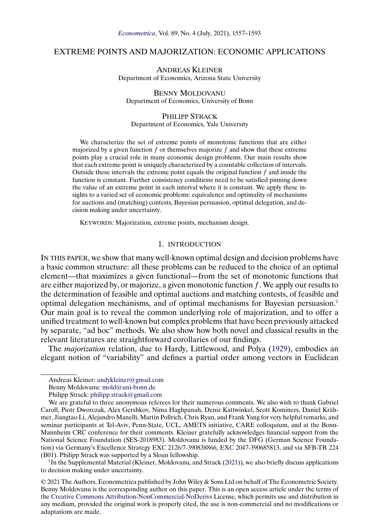# <span id="page-0-0"></span>EXTREME POINTS AND MAJORIZATION: ECONOMIC APPLICATIONS

ANDREAS KLEINER Department of Economics, Arizona State University

BENNY MOLDOVANU Department of Economics, University of Bonn

#### PHILIPP STRACK

Department of Economics, Yale University

We characterize the set of extreme points of monotonic functions that are either majorized by a given function  $f$  or themselves majorize  $f$  and show that these extreme points play a crucial role in many economic design problems. Our main results show that each extreme point is uniquely characterized by a countable collection of intervals. Outside these intervals the extreme point equals the original function  $f$  and inside the function is constant. Further consistency conditions need to be satisfied pinning down the value of an extreme point in each interval where it is constant. We apply these insights to a varied set of economic problems: equivalence and optimality of mechanisms for auctions and (matching) contests, Bayesian persuasion, optimal delegation, and decision making under uncertainty.

KEYWORDS: Majorization, extreme points, mechanism design.

## 1. INTRODUCTION

IN THIS PAPER, we show that many well-known optimal design and decision problems have a basic common structure: all these problems can be reduced to the choice of an optimal element—that maximizes a given functional—from the set of monotonic functions that are either majorized by, or majorize, a given monotonic function  $f$ . We apply our results to the determination of feasible and optimal auctions and matching contests, of feasible and optimal delegation mechanisms, and of optimal mechanisms for Bayesian persuasion.1 Our main goal is to reveal the common underlying role of majorization, and to offer a unified treatment to well-known but complex problems that have been previously attacked by separate, "ad hoc" methods. We also show how both novel and classical results in the relevant literatures are straightforward corollaries of our findings.

The *majorization* relation, due to Hardy, Littlewood, and Polya [\(1929\)](#page-35-0), embodies an elegant notion of "variability" and defines a partial order among vectors in Euclidean

Benny Moldovanu: [mold@uni-bonn.de](mailto:mold@uni-bonn.de)

<sup>1</sup>In the Supplemental Material (Kleiner, Moldovanu, and Strack [\(2021\)](#page-35-0)), we also briefly discuss applications to decision making under uncertainty.

Andreas Kleiner: [andykleiner@gmail.com](mailto:andykleiner@gmail.com)

Philipp Strack: [philipp.strack@gmail.com](mailto:philipp.strack@gmail.com)

We are grateful to three anonymous referees for their numerous comments. We also wish to thank Gabriel Caroll, Piotr Dworczak, Alex Gershkov, Nima Haghpanah, Deniz Kattwinkel, Scott Kominers, Daniel Krähmer, Jiangtao Li, Alejandro Manelli, Martin Pollrich, Chris Ryan, and Frank Yang for very helpful remarks, and seminar participants at Tel-Aviv, Penn-State, UCL, AMETS initiative, CARE colloquium, and at the Bonn-Mannheim CRC conference for their comments. Kleiner gratefully acknowledges financial support from the National Science Foundation (SES-2018983). Moldovanu is funded by the DFG (German Science Foundation) via Germany's Excellence Strategy EXC 2126/7-390838866, EXC 2047-390685813, and via SFB-TR 224 (B01). Philipp Strack was supported by a Sloan fellowship.

<sup>© 2021</sup> The Authors. Econometrica published by John Wiley & Sons Ltd on behalf of The Econometric Society. Benny Moldovanu is the corresponding author on this paper. This is an open access article under the terms of the [Creative Commons Attribution-NonCommercial-NoDerivs](https://creativecommons.org/licenses/by-nc-nd/4.0/) License, which permits use and distribution in any medium, provided the original work is properly cited, the use is non-commercial and no modifications or adaptations are made.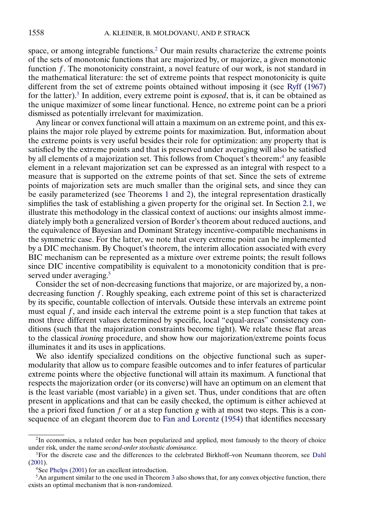<span id="page-1-0"></span>space, or among integrable functions.<sup>2</sup> Our main results characterize the extreme points of the sets of monotonic functions that are majorized by, or majorize, a given monotonic function  $f$ . The monotonicity constraint, a novel feature of our work, is not standard in the mathematical literature: the set of extreme points that respect monotonicity is quite different from the set of extreme points obtained without imposing it (see [Ryff](#page-36-0) [\(1967\)](#page-36-0) for the latter).3 In addition, every extreme point is *exposed*, that is, it can be obtained as the unique maximizer of some linear functional. Hence, no extreme point can be a priori dismissed as potentially irrelevant for maximization.

Any linear or convex functional will attain a maximum on an extreme point, and this explains the major role played by extreme points for maximization. But, information about the extreme points is very useful besides their role for optimization: any property that is satisfied by the extreme points and that is preserved under averaging will also be satisfied by all elements of a majorization set. This follows from Choquet's theorem:<sup>4</sup> any feasible element in a relevant majorization set can be expressed as an integral with respect to a measure that is supported on the extreme points of that set. Since the sets of extreme points of majorization sets are much smaller than the original sets, and since they can be easily parameterized (see Theorems [1](#page-4-0) and [2\)](#page-5-0), the integral representation drastically simplifies the task of establishing a given property for the original set. In Section [2.1,](#page-7-0) we illustrate this methodology in the classical context of auctions: our insights almost immediately imply both a generalized version of Border's theorem about reduced auctions, and the equivalence of Bayesian and Dominant Strategy incentive-compatible mechanisms in the symmetric case. For the latter, we note that every extreme point can be implemented by a DIC mechanism. By Choquet's theorem, the interim allocation associated with every BIC mechanism can be represented as a mixture over extreme points; the result follows since DIC incentive compatibility is equivalent to a monotonicity condition that is preserved under averaging.<sup>5</sup>

Consider the set of non-decreasing functions that majorize, or are majorized by, a nondecreasing function  $f$ . Roughly speaking, each extreme point of this set is characterized by its specific, countable collection of intervals. Outside these intervals an extreme point must equal f, and inside each interval the extreme point is a step function that takes at most three different values determined by specific, local "equal-areas" consistency conditions (such that the majorization constraints become tight). We relate these flat areas to the classical *ironing* procedure, and show how our majorization/extreme points focus illuminates it and its uses in applications.

We also identify specialized conditions on the objective functional such as supermodularity that allow us to compare feasible outcomes and to infer features of particular extreme points where the objective functional will attain its maximum. A functional that respects the majorization order (or its converse) will have an optimum on an element that is the least variable (most variable) in a given set. Thus, under conditions that are often present in applications and that can be easily checked, the optimum is either achieved at the a priori fixed function  $f$  or at a step function  $g$  with at most two steps. This is a consequence of an elegant theorem due to [Fan and Lorentz](#page-35-0) [\(1954\)](#page-35-0) that identifies necessary

<sup>&</sup>lt;sup>2</sup>In economics, a related order has been popularized and applied, most famously to the theory of choice under risk, under the name *second-order stochastic dominance.*

<sup>&</sup>lt;sup>3</sup>For the discrete case and the differences to the celebrated Birkhoff–von Neumann theorem, see [Dahl](#page-35-0) [\(2001\)](#page-35-0).

<sup>4</sup>See [Phelps](#page-36-0) [\(2001\)](#page-36-0) for an excellent introduction.

 $<sup>5</sup>$ An argument similar to the one used in Theorem [3](#page-8-0) also shows that, for any convex objective function, there</sup> exists an optimal mechanism that is non-randomized.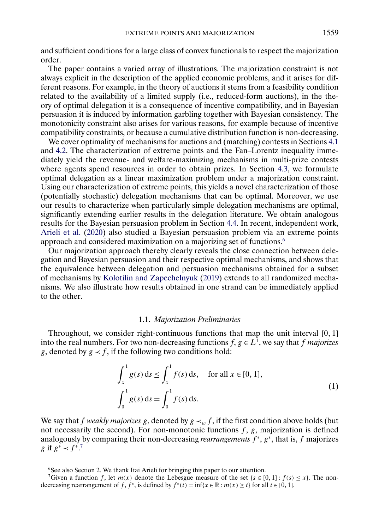<span id="page-2-0"></span>and sufficient conditions for a large class of convex functionals to respect the majorization order.

The paper contains a varied array of illustrations. The majorization constraint is not always explicit in the description of the applied economic problems, and it arises for different reasons. For example, in the theory of auctions it stems from a feasibility condition related to the availability of a limited supply (i.e., reduced-form auctions), in the theory of optimal delegation it is a consequence of incentive compatibility, and in Bayesian persuasion it is induced by information garbling together with Bayesian consistency. The monotonicity constraint also arises for various reasons, for example because of incentive compatibility constraints, or because a cumulative distribution function is non-decreasing.

We cover optimality of mechanisms for auctions and (matching) contests in Sections [4.1](#page-13-0) and [4.2.](#page-13-0) The characterization of extreme points and the Fan–Lorentz inequality immediately yield the revenue- and welfare-maximizing mechanisms in multi-prize contests where agents spend resources in order to obtain prizes. In Section [4.3,](#page-15-0) we formulate optimal delegation as a linear maximization problem under a majorization constraint. Using our characterization of extreme points, this yields a novel characterization of those (potentially stochastic) delegation mechanisms that can be optimal. Moreover, we use our results to characterize when particularly simple delegation mechanisms are optimal, significantly extending earlier results in the delegation literature. We obtain analogous results for the Bayesian persuasion problem in Section [4.4.](#page-20-0) In recent, independent work, [Arieli et al.](#page-35-0) [\(2020\)](#page-35-0) also studied a Bayesian persuasion problem via an extreme points approach and considered maximization on a majorizing set of functions.6

Our majorization approach thereby clearly reveals the close connection between delegation and Bayesian persuasion and their respective optimal mechanisms, and shows that the equivalence between delegation and persuasion mechanisms obtained for a subset of mechanisms by [Kolotilin and Zapechelnyuk](#page-36-0) [\(2019\)](#page-36-0) extends to all randomized mechanisms. We also illustrate how results obtained in one strand can be immediately applied to the other.

### 1.1. *Majorization Preliminaries*

Throughout, we consider right-continuous functions that map the unit interval [0, 1] into the real numbers. For two non-decreasing functions  $f, g \in L^1$ , we say that f *majorizes* g, denoted by  $g \lt f$ , if the following two conditions hold:

$$
\int_{x}^{1} g(s) ds \le \int_{x}^{1} f(s) ds, \quad \text{for all } x \in [0, 1],
$$
  

$$
\int_{0}^{1} g(s) ds = \int_{0}^{1} f(s) ds.
$$
 (1)

We say that f *weakly majorizes* g, denoted by  $g \prec_w f$ , if the first condition above holds (but not necessarily the second). For non-monotonic functions  $f$ ,  $g$ , majorization is defined analogously by comparing their non-decreasing *rearrangements*  $f^*$ ,  $g^*$ , that is, f majorizes g if  $g^* \prec f^{*.7}$ 

<sup>&</sup>lt;sup>6</sup>See also Section 2. We thank Itai Arieli for bringing this paper to our attention.

<sup>7</sup>Given a function f, let  $m(x)$  denote the Lebesgue measure of the set { $s \in [0, 1]$  :  $f(s) \le x$ }. The nondecreasing rearrangement of f, f<sup>\*</sup>, is defined by  $f^*(t) = \inf\{x \in \mathbb{R} : m(x) \ge t\}$  for all  $t \in [0, 1]$ .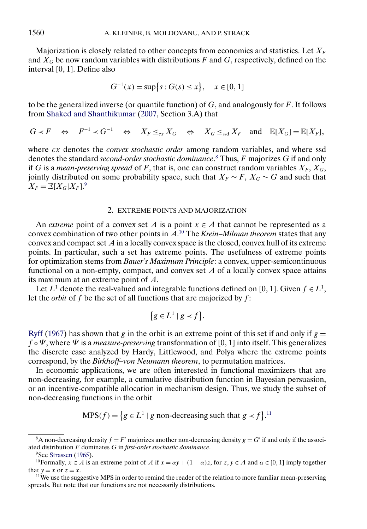<span id="page-3-0"></span>Majorization is closely related to other concepts from economics and statistics. Let  $X_F$ and  $X_G$  be now random variables with distributions F and G, respectively, defined on the interval [0, 1]. Define also

$$
G^{-1}(x) = \sup\{s : G(s) \le x\}, \quad x \in [0, 1]
$$

to be the generalized inverse (or quantile function) of  $G$ , and analogously for  $F$ . It follows from [Shaked and Shanthikumar](#page-36-0) [\(2007,](#page-36-0) Section 3.A) that

 $G \prec F \quad \Leftrightarrow \quad F^{-1} \prec G^{-1} \quad \Leftrightarrow \quad X_F \leq_{cx} X_G \quad \Leftrightarrow \quad X_G \leq_{ssd} X_F \quad \text{and} \quad \mathbb{E}[X_G] = \mathbb{E}[X_F],$ 

where cx denotes the *convex stochastic order* among random variables, and where ssd denotes the standard *second-order stochastic dominance*. <sup>8</sup> Thus, F majorizes G if and only if  $G$  is a *mean-preserving spread* of  $F$ , that is, one can construct random variables  $X_F, X_G,$ jointly distributed on some probability space, such that  $X_F \sim F$ ,  $X_G \sim G$  and such that  $X_F = \mathbb{E}[X_G | X_F].^9$ 

### 2. EXTREME POINTS AND MAJORIZATION

An *extreme* point of a convex set A is a point  $x \in A$  that cannot be represented as a convex combination of two other points in A. <sup>10</sup> The *Krein–Milman theorem* states that any convex and compact set  $A$  in a locally convex space is the closed, convex hull of its extreme points. In particular, such a set has extreme points. The usefulness of extreme points for optimization stems from *Bauer's Maximum Principle*: a convex, upper-semicontinuous functional on a non-empty, compact, and convex set  $A$  of a locally convex space attains its maximum at an extreme point of A.

Let  $L^1$  denote the real-valued and integrable functions defined on [0, 1]. Given  $f \in L^1$ , let the *orbit* of  $f$  be the set of all functions that are majorized by  $f$ :

$$
\{g \in L^1 \mid g \prec f\}.
$$

[Ryff](#page-36-0) [\(1967\)](#page-36-0) has shown that g in the orbit is an extreme point of this set if and only if  $g =$  $f \circ \Psi$ , where  $\Psi$  is a *measure-preserving* transformation of [0, 1] into itself. This generalizes the discrete case analyzed by Hardy, Littlewood, and Polya where the extreme points correspond, by the *Birkhoff–von Neumann theorem*, to permutation matrices.

In economic applications, we are often interested in functional maximizers that are non-decreasing, for example, a cumulative distribution function in Bayesian persuasion, or an incentive-compatible allocation in mechanism design. Thus, we study the subset of non-decreasing functions in the orbit

$$
MPS(f) = \{ g \in L^1 \mid g \text{ non-decreasing such that } g \prec f \}.
$$
<sup>11</sup>

<sup>&</sup>lt;sup>8</sup>A non-decreasing density  $f = F'$  majorizes another non-decreasing density  $g = G'$  if and only if the associated distribution F dominates G in *first-order stochastic dominance*.

<sup>&</sup>lt;sup>9</sup>See [Strassen](#page-36-0) [\(1965\)](#page-36-0).

<sup>&</sup>lt;sup>10</sup>Formally,  $x \in A$  is an extreme point of A if  $x = \alpha y + (1 - \alpha)z$ , for  $z, y \in A$  and  $\alpha \in [0, 1]$  imply together that  $y = x$  or  $z = x$ .

<sup>&</sup>lt;sup>11</sup>We use the suggestive MPS in order to remind the reader of the relation to more familiar mean-preserving spreads. But note that our functions are not necessarily distributions.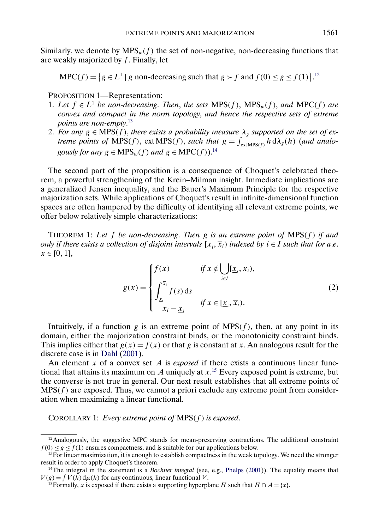<span id="page-4-0"></span>Similarly, we denote by  $MPS_w(f)$  the set of non-negative, non-decreasing functions that are weakly majorized by  $f$ . Finally, let

$$
MPC(f) = \{ g \in L^1 \mid g \text{ non-decreasing such that } g > f \text{ and } f(0) \le g \le f(1) \}.
$$
<sup>12</sup>

PROPOSITION 1—Representation:

- 1. Let  $f$  ∈  $L^1$  *be non-decreasing. Then, the sets* MPS(f), MPS<sub>w</sub>(f), and MPC(f) are *convex and compact in the norm topology*, *and hence the respective sets of extreme points are non-empty*. 13
- 2. For any  $g \in \text{MPS}(f)$ , there exists a probability measure  $\lambda_g$  supported on the set of ex*treme points of*  $\widehat{MPS}(f)$ ,  $ext{MPS}(f)$ , *such that*  $g = \int_{ext{MPS}(f)}^{\infty} h d\lambda_g(h)$  (*and analogously for any*  $g \in MPS_w(f)$  *and*  $g \in MPC(f))$ .<sup>14</sup>

The second part of the proposition is a consequence of Choquet's celebrated theorem, a powerful strengthening of the Krein–Milman insight. Immediate implications are a generalized Jensen inequality, and the Bauer's Maximum Principle for the respective majorization sets. While applications of Choquet's result in infinite-dimensional function spaces are often hampered by the difficulty of identifying all relevant extreme points, we offer below relatively simple characterizations:

THEOREM 1: *Let* f *be non-decreasing*. *Then* g *is an extreme point of* MPS(f ) *if and only if there exists a collection of disjoint intervals*  $[\underline{x}_i, \overline{x}_i)$  *indexed by*  $i \in I$  *such that for a.e.*  $x \in [0, 1],$ 

$$
g(x) = \begin{cases} f(x) & \text{if } x \notin \bigcup_{i \in I} [\underline{x}_i, \overline{x}_i), \\ \int_{\underline{x}_i}^{\overline{x}_i} f(s) \, ds & \text{if } x \in [\underline{x}_i, \overline{x}_i). \end{cases}
$$
 (2)

Intuitively, if a function g is an extreme point of  $MPS(f)$ , then, at any point in its domain, either the majorization constraint binds, or the monotonicity constraint binds. This implies either that  $g(x) = f(x)$  or that g is constant at x. An analogous result for the discrete case is in [Dahl](#page-35-0) [\(2001\)](#page-35-0).

An element  $x$  of a convex set  $A$  is *exposed* if there exists a continuous linear functional that attains its maximum on A uniquely at  $x$ .<sup>15</sup> Every exposed point is extreme, but the converse is not true in general. Our next result establishes that all extreme points of  $MPS(f)$  are exposed. Thus, we cannot a priori exclude any extreme point from consideration when maximizing a linear functional.

COROLLARY 1: *Every extreme point of* MPS(f ) *is exposed*.

 $12A$ nalogously, the suggestive MPC stands for mean-preserving contractions. The additional constraint  $f(0) \le g \le f(1)$  ensures compactness, and is suitable for our applications below.

 $13$ For linear maximization, it is enough to establish compactness in the weak topology. We need the stronger result in order to apply Choquet's theorem.

<sup>&</sup>lt;sup>14</sup>The integral in the statement is a *Bochner integral* (see, e.g., [Phelps](#page-36-0) [\(2001\)](#page-36-0)). The equality means that  $V(g) = \int V(h) d\mu(h)$  for any continuous, linear functional V.

<sup>&</sup>lt;sup>15</sup>Formally, x is exposed if there exists a supporting hyperplane H such that  $H \cap A = \{x\}$ .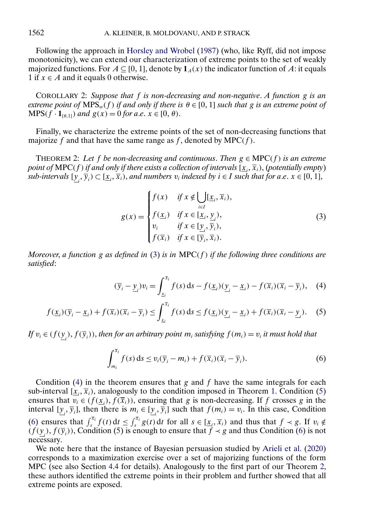<span id="page-5-0"></span>Following the approach in [Horsley and Wrobel](#page-35-0) [\(1987\)](#page-35-0) (who, like Ryff, did not impose monotonicity), we can extend our characterization of extreme points to the set of weakly majorized functions. For  $A \subseteq [0, 1]$ , denote by  $\mathbf{1}_A(x)$  the indicator function of A: it equals 1 if  $x \in A$  and it equals 0 otherwise.

COROLLARY 2: *Suppose that* f *is non-decreasing and non-negative*. *A function* g *is an*  $extreme$  point of  $MPS_w(f)$  if and only if there is  $\theta \in [0, 1]$  such that g is an extreme point of  $MPS(f \cdot 1_{\lbrack \theta, 1 \rbrack})$  *and*  $g(x) = 0$  *for a.e.*  $x \in [0, \theta)$ .

Finally, we characterize the extreme points of the set of non-decreasing functions that majorize f and that have the same range as f, denoted by  $MPC(f)$ .

THEOREM 2: Let f be non-decreasing and continuous. Then  $g \in \text{MPC}(f)$  is an extreme point of  $\mathsf{MPC}(f)$  if and only if there exists a collection of intervals  $[\underline{x}_i,\overline{x}_i),$  (potentially empty)  $sub\text{-}intervals } [\underline{y}_{i}, \overline{y}_{i}) \subset [\underline{x}_{i}, \overline{x}_{i}),$  and numbers  $v_{i}$  indexed by  $i \in I$  such that for a.e.  $x \in [0, 1],$ 

$$
g(x) = \begin{cases} f(x) & \text{if } x \notin \bigcup[\underline{x}_i, \overline{x}_i), \\ f(\underline{x}_i) & \text{if } x \in [\underline{x}_i, \underline{y}_i), \\ v_i & \text{if } x \in [\underline{y}_i, \overline{y}_i), \\ f(\overline{x}_i) & \text{if } x \in [\overline{y}_i, \overline{x}_i). \end{cases}
$$
(3)

*Moreover*, *a function* g *as defined in* (3) *is in* MPC(f ) *if the following three conditions are satisfied*:

$$
(\overline{y}_i - \underline{y}_i)v_i = \int_{\underline{x}_i}^{\overline{x}_i} f(s) \, ds - f(\underline{x}_i)(\underline{y}_i - \underline{x}_i) - f(\overline{x}_i)(\overline{x}_i - \overline{y}_i), \quad (4)
$$

$$
f(\underline{x}_i)(\overline{y}_i - \underline{x}_i) + f(\overline{x}_i)(\overline{x}_i - \overline{y}_i) \le \int_{\underline{x}_i}^{\overline{x}_i} f(s) \, ds \le f(\underline{x}_i)(\underline{y}_i - \underline{x}_i) + f(\overline{x}_i)(\overline{x}_i - \underline{y}_i). \tag{5}
$$

*If*  $v_i \in (f(\underline{y}_i), f(\overline{y}_i))$ , then for an arbitrary point  $m_i$  satisfying  $f(m_i) = v_i$  it must hold that

$$
\int_{m_i}^{\overline{x}_i} f(s) ds \le v_i(\overline{y}_i - m_i) + f(\overline{x}_i)(\overline{x}_i - \overline{y}_i).
$$
 (6)

Condition (4) in the theorem ensures that g and f have the same integrals for each sub-interval  $[\underline{x}_i, \overline{x}_i]$ , analogously to the condition imposed in Theorem [1.](#page-4-0) Condition (5) ensures that  $v_i \in (f(\underline{x}_i), f(\overline{x}_i))$ , ensuring that g is non-decreasing. If f crosses g in the interval  $[\underline{y}_i, \overline{y}_i]$ , then there is  $m_i \in [\underline{y}_i, \overline{y}_i]$  such that  $f(m_i) = v_i$ . In this case, Condition (6) ensures that  $\int_s^{\overline{x}_i} f(t) dt \leq \int_s^{\overline{x}_i} g(t) dt$  for all  $s \in [\underline{x}_i, \overline{x}_i]$  and thus that  $f \prec g$ . If  $v_i \notin$  $(f(\underline{y}_i), f(\overline{y}_i))$ , Condition (5) is enough to ensure that  $f \prec g$  and thus Condition (6) is not necessary.

We note here that the instance of Bayesian persuasion studied by [Arieli et al.](#page-35-0) [\(2020\)](#page-35-0) corresponds to a maximization exercise over a set of majorizing functions of the form MPC (see also Section [4.4](#page-20-0) for details). Analogously to the first part of our Theorem 2, these authors identified the extreme points in their problem and further showed that all extreme points are exposed.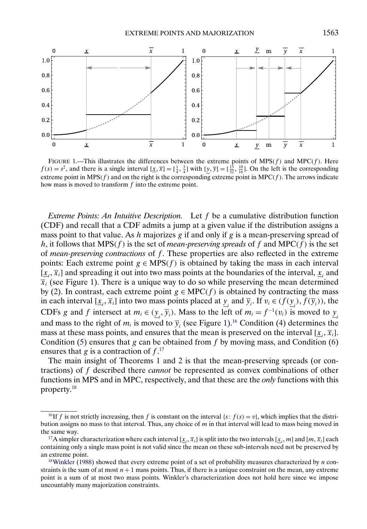<span id="page-6-0"></span>

FIGURE 1.—This illustrates the differences between the extreme points of  $MPS(f)$  and  $MPC(f)$ . Here  $f(s) = s^2$ , and there is a single interval  $[\underline{x}, \overline{x}] = [\frac{1}{4}, \frac{3}{4}]$  with  $[\underline{y}, \overline{y}] = [\frac{13}{32}, \frac{10}{16}]$ . On the left is the corresponding extreme point in  $MPS(f)$  and on the right is the corresponding extreme point in  $MPC(f)$ . The arrows indicate how mass is moved to transform f into the extreme point.

*Extreme Points: An Intuitive Description.* Let f be a cumulative distribution function (CDF) and recall that a CDF admits a jump at a given value if the distribution assigns a mass point to that value. As  $h$  majorizes  $g$  if and only if  $g$  is a mean-preserving spread of h, it follows that  $MPS(f)$  is the set of *mean-preserving spreads* of f and  $MPC(f)$  is the set of *mean-preserving contractions* of f. These properties are also reflected in the extreme points: Each extreme point  $g \in MPS(f)$  is obtained by taking the mass in each interval  $[\underline{x}_i, \overline{x}_i]$  and spreading it out into two mass points at the boundaries of the interval,  $\underline{x}_i$  and  $\overline{x}_i$  (see Figure 1). There is a unique way to do so while preserving the mean determined by [\(2\)](#page-4-0). In contrast, each extreme point  $g \in \text{MPC}(f)$  is obtained by contracting the mass in each interval  $[\underline{x}_i, \overline{x}_i]$  into two mass points placed at  $\underline{y}_i$  and  $\overline{y}_i$ . If  $v_i \in (f(\underline{y}_i), f(\overline{y}_i))$ , the CDFs g and f intersect at  $m_i \in (\underline{y}_i, \overline{y}_i)$ . Mass to the left of  $m_i = f^{-1}(v_i)$  is moved to  $\underline{y}_i$ and mass to the right of  $m_i$  is moved to  $\overline{y}_i$  (see Figure 1).<sup>16</sup> Condition [\(4\)](#page-5-0) determines the mass at these mass points, and ensures that the mean is preserved on the interval  $[\underline{x}_i, \overline{x}_i]$ . Condition [\(5\)](#page-5-0) ensures that  $g$  can be obtained from  $f$  by moving mass, and Condition [\(6\)](#page-5-0) ensures that g is a contraction of  $f^{17}$ .

The main insight of Theorems [1](#page-4-0) and [2](#page-5-0) is that the mean-preserving spreads (or contractions) of f described there *cannot* be represented as convex combinations of other functions in MPS and in MPC, respectively, and that these are the *only* functions with this property.18

<sup>&</sup>lt;sup>16</sup>If f is not strictly increasing, then f is constant on the interval  $\{s: f(s) = v\}$ , which implies that the distribution assigns no mass to that interval. Thus, any choice of  $m$  in that interval will lead to mass being moved in the same way.

<sup>&</sup>lt;sup>17</sup>A simpler characterization where each interval  $[\underline{x}_i, \overline{x}_i]$  is split into the two intervals  $[\underline{x}_i, m]$  and  $[m, \overline{x}_i]$  each containing only a single mass point is not valid since the mean on these sub-intervals need not be preserved by an extreme point.

 $18$ Winkler [\(1988\)](#page-36-0) showed that every extreme point of a set of probability measures characterized by  $n$  constraints is the sum of at most  $n + 1$  mass points. Thus, if there is a unique constraint on the mean, any extreme point is a sum of at most two mass points. Winkler's characterization does not hold here since we impose uncountably many majorization constraints.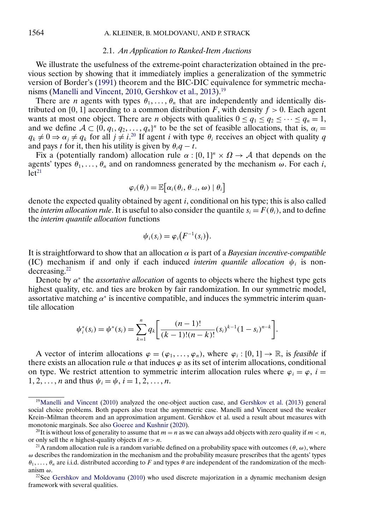#### 2.1. *An Application to Ranked-Item Auctions*

<span id="page-7-0"></span>We illustrate the usefulness of the extreme-point characterization obtained in the previous section by showing that it immediately implies a generalization of the symmetric version of Border's [\(1991\)](#page-35-0) theorem and the BIC-DIC equivalence for symmetric mecha-nisms [\(Manelli and Vincent,](#page-36-0) [2010,](#page-36-0) [Gershkov et al.,](#page-35-0) [2013\)](#page-35-0).<sup>19</sup>

There are *n* agents with types  $\theta_1, \ldots, \theta_n$  that are independently and identically distributed on [0, 1] according to a common distribution F, with density  $f > 0$ . Each agent wants at most one object. There are *n* objects with qualities  $0 \le q_1 \le q_2 \le \cdots \le q_n = 1$ , and we define  $A \subset \{0, q_1, q_2, \ldots, q_n\}^n$  to be the set of feasible allocations, that is,  $\alpha_i =$  $q_k \neq 0 \Rightarrow \alpha_j \neq q_k$  for all  $j \neq i$ .<sup>20</sup> If agent i with type  $\theta_i$  receives an object with quality q and pays t for it, then his utility is given by  $\theta_i q - t$ .

Fix a (potentially random) allocation rule  $\alpha : [0, 1]^n \times \Omega \to A$  that depends on the agents' types  $\theta_1, \ldots, \theta_n$  and on randomness generated by the mechanism  $\omega$ . For each i,  $let<sup>21</sup>$ 

$$
\varphi_i(\theta_i) = \mathbb{E} \big[ \alpha_i(\theta_i, \theta_{-i}, \omega) \mid \theta_i \big]
$$

denote the expected quality obtained by agent i, conditional on his type; this is also called the *interim allocation rule*. It is useful to also consider the quantile  $s_i = F(\theta_i)$ , and to define the *interim quantile allocation* functions

$$
\psi_i(s_i) = \varphi_i\bigl(F^{-1}(s_i)\bigr).
$$

It is straightforward to show that an allocation  $\alpha$  is part of a *Bayesian incentive-compatible* (IC) mechanism if and only if each induced *interim quantile allocation*  $\psi_i$  is nondecreasing.22

Denote by  $\alpha^*$  the *assortative allocation* of agents to objects where the highest type gets highest quality, etc. and ties are broken by fair randomization. In our symmetric model, assortative matching  $\alpha^*$  is incentive compatible, and induces the symmetric interim quantile allocation

$$
\psi_i^*(s_i) = \psi^*(s_i) = \sum_{k=1}^n q_k \left[ \frac{(n-1)!}{(k-1)!(n-k)!} (s_i)^{k-1} (1-s_i)^{n-k} \right].
$$

A vector of interim allocations  $\varphi = (\varphi_1, \ldots, \varphi_n)$ , where  $\varphi_i : [0, 1] \to \mathbb{R}$ , is *feasible* if there exists an allocation rule  $\alpha$  that induces  $\varphi$  as its set of interim allocations, conditional on type. We restrict attention to symmetric interim allocation rules where  $\varphi_i = \varphi$ ,  $i =$  $1, 2, ..., n$  and thus  $\psi_i = \psi, i = 1, 2, ..., n$ .

<sup>1</sup>[9Manelli and Vincent](#page-36-0) [\(2010\)](#page-36-0) analyzed the one-object auction case, and [Gershkov et al.](#page-35-0) [\(2013\)](#page-35-0) general social choice problems. Both papers also treat the asymmetric case. Manelli and Vincent used the weaker Krein–Milman theorem and an approximation argument. Gershkov et al. used a result about measures with monotonic marginals. See also [Goeree and Kushnir](#page-35-0) [\(2020\)](#page-35-0).

<sup>&</sup>lt;sup>20</sup>It is without loss of generality to assume that  $m = n$  as we can always add objects with zero quality if  $m < n$ , or only sell the *n* highest-quality objects if  $m > n$ .

<sup>&</sup>lt;sup>21</sup>A random allocation rule is a random variable defined on a probability space with outcomes ( $\theta$ ,  $\omega$ ), where  $\omega$  describes the randomization in the mechanism and the probability measure prescribes that the agents' types  $\theta_1, \ldots, \theta_n$  are i.i.d. distributed according to F and types  $\theta$  are independent of the randomization of the mechanism ω.

<sup>&</sup>lt;sup>22</sup>See [Gershkov and Moldovanu](#page-35-0) [\(2010\)](#page-35-0) who used discrete majorization in a dynamic mechanism design framework with several qualities.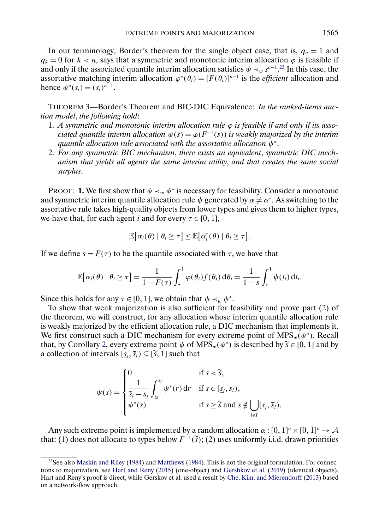<span id="page-8-0"></span>In our terminology, Border's theorem for the single object case, that is,  $q_n = 1$  and  $q_k = 0$  for  $k < n$ , says that a symmetric and monotonic interim allocation  $\varphi$  is feasible if and only if the associated quantile interim allocation satisfies  $\psi \prec_w s^{n-1}$ .<sup>23</sup> In this case, the assortative matching interim allocation  $\varphi^*(\theta_i) = [F(\theta_i)]^{n-1}$  is the *efficient* allocation and hence  $\psi^*(s_i) = (s_i)^{n-1}$ .

THEOREM 3—Border's Theorem and BIC-DIC Equivalence: *In the ranked-items auction model*, *the following hold*:

- 1. *A symmetric and monotonic interim allocation rule*  $\varphi$  *is feasible if and only if its associated quantile interim allocation*  $\psi(s) = \varphi(F^{-1}(s))$  *is weakly majorized by the interim quantile allocation rule associated with the assortative allocation* ψ<sup>∗</sup>.
- 2. *For any symmetric BIC mechanism*, *there exists an equivalent*, *symmetric DIC mechanism that yields all agents the same interim utility*, *and that creates the same social surplus*.

**PROOF: 1.** We first show that  $\psi \prec_w \psi^*$  is necessary for feasibility. Consider a monotonic and symmetric interim quantile allocation rule  $\psi$  generated by  $\alpha \neq \alpha^*$ . As switching to the assortative rule takes high-quality objects from lower types and gives them to higher types, we have that, for each agent *i* and for every  $\tau \in [0, 1]$ ,

$$
\mathbb{E}[\alpha_i(\theta) | \theta_i \geq \tau] \leq \mathbb{E}[\alpha_i^*(\theta) | \theta_i \geq \tau].
$$

If we define  $s = F(\tau)$  to be the quantile associated with  $\tau$ , we have that

$$
\mathbb{E}\big[\alpha_i(\theta)\mid \theta_i\geq \tau\big]=\frac{1}{1-F(\tau)}\int_{\tau}^1\varphi(\theta_i)f(\theta_i)\,d\theta_i=\frac{1}{1-s}\int_s^1\psi(t_i)\,dt_i.
$$

Since this holds for any  $\tau \in [0, 1]$ , we obtain that  $\psi \prec_w \psi^*$ .

To show that weak majorization is also sufficient for feasibility and prove part (2) of the theorem, we will construct, for any allocation whose interim quantile allocation rule is weakly majorized by the efficient allocation rule, a DIC mechanism that implements it. We first construct such a DIC mechanism for every extreme point of MPS<sub>w</sub>( $\psi^*$ ). Recall that, by Corollary [2,](#page-5-0) every extreme point  $\psi$  of MPS<sub>w</sub>( $\psi^*$ ) is described by  $\widetilde{s} \in [0, 1]$  and by a collection of intervals  $[\underline{s}_l, \overline{s}_l) \subseteq [\tilde{s}, 1]$  such that

$$
\psi(s) = \begin{cases}\n0 & \text{if } s < \widetilde{s}, \\
\frac{1}{\overline{s}_l - \underline{s}_l} \int_{\underline{s}_l}^{\overline{s}_l} \psi^*(r) dr & \text{if } s \in [\underline{s}_l, \overline{s}_l), \\
\psi^*(s) & \text{if } s \ge \widetilde{s} \text{ and } s \notin \bigcup_{l \in I} [\underline{s}_l, \overline{s}_l).\n\end{cases}
$$

Any such extreme point is implemented by a random allocation  $\alpha : [0, 1]^n \times [0, 1]^n \rightarrow \mathcal{A}$ that: (1) does not allocate to types below  $F^{-1}(\tilde{s})$ ; (2) uses uniformly i.i.d. drawn priorities

 $23$ See also [Maskin and Riley](#page-36-0) [\(1984\)](#page-36-0) and [Matthews](#page-36-0) (1984). This is not the original formulation. For connections to majorization, see [Hart and Reny](#page-35-0) [\(2015\)](#page-35-0) (one-object) and [Gershkov et al.](#page-35-0) [\(2019\)](#page-35-0) (identical objects). Hart and Reny's proof is direct, while Gerskov et al. used a result by [Che, Kim, and Mierendorff](#page-35-0) [\(2013\)](#page-35-0) based on a network-flow approach.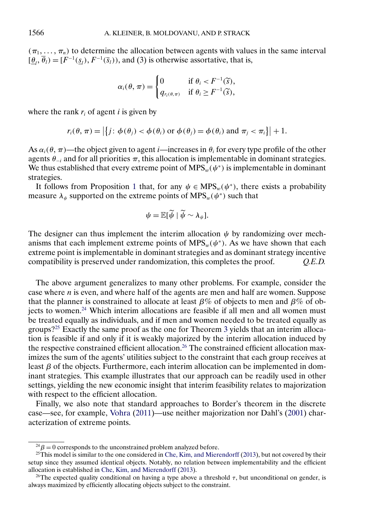<span id="page-9-0"></span> $(\pi_1, \ldots, \pi_n)$  to determine the allocation between agents with values in the same interval  $[\underline{\theta}_l, \overline{\theta}_l] = [F^{-1}(\underline{s}_l), F^{-1}(\overline{s}_l))$ , and (3) is otherwise assortative, that is,

$$
\alpha_i(\theta,\,\pi)=\begin{cases}0&\text{if }\theta_i
$$

where the rank  $r_i$  of agent i is given by

$$
r_i(\theta, \pi) = \left| \left\{ j : \phi(\theta_j) < \phi(\theta_i) \text{ or } \phi(\theta_j) = \phi(\theta_i) \text{ and } \pi_j < \pi_i \right\} \right| + 1.
$$

As  $\alpha_i(\theta, \pi)$ —the object given to agent *i*—increases in  $\theta_i$  for every type profile of the other agents  $\theta_{-i}$  and for all priorities  $\pi$ , this allocation is implementable in dominant strategies. We thus established that every extreme point of MPS<sub>w</sub>( $\psi^*$ ) is implementable in dominant strategies.

It follows from Proposition [1](#page-4-0) that, for any  $\psi \in MPS_w(\psi^*)$ , there exists a probability measure  $\lambda_{\psi}$  supported on the extreme points of MPS<sub>w</sub>( $\psi^*$ ) such that

$$
\psi = \mathbb{E}[\widetilde{\psi} \mid \widetilde{\psi} \sim \lambda_{\psi}].
$$

The designer can thus implement the interim allocation  $\psi$  by randomizing over mechanisms that each implement extreme points of MPS<sub>w</sub>( $\psi^*$ ). As we have shown that each extreme point is implementable in dominant strategies and as dominant strategy incentive compatibility is preserved under randomization, this completes the proof. *Q.E.D.*

The above argument generalizes to many other problems. For example, consider the case where  $n$  is even, and where half of the agents are men and half are women. Suppose that the planner is constrained to allocate at least  $\beta\%$  of objects to men and  $\beta\%$  of objects to women.<sup>24</sup> Which interim allocations are feasible if all men and all women must be treated equally as individuals, and if men and women needed to be treated equally as groups?25 Exactly the same proof as the one for Theorem [3](#page-8-0) yields that an interim allocation is feasible if and only if it is weakly majorized by the interim allocation induced by the respective constrained efficient allocation.<sup>26</sup> The constrained efficient allocation maximizes the sum of the agents' utilities subject to the constraint that each group receives at least  $β$  of the objects. Furthermore, each interim allocation can be implemented in dominant strategies. This example illustrates that our approach can be readily used in other settings, yielding the new economic insight that interim feasibility relates to majorization with respect to the efficient allocation.

Finally, we also note that standard approaches to Border's theorem in the discrete case—see, for example, [Vohra](#page-36-0) [\(2011\)](#page-36-0)—use neither majorization nor Dahl's [\(2001\)](#page-35-0) characterization of extreme points.

 $^{24}\beta = 0$  corresponds to the unconstrained problem analyzed before.

 $25$ This model is similar to the one considered in [Che, Kim, and Mierendorff](#page-35-0) [\(2013\)](#page-35-0), but not covered by their setup since they assumed identical objects. Notably, no relation between implementability and the efficient allocation is established in [Che, Kim, and Mierendorff](#page-35-0) [\(2013\)](#page-35-0).

<sup>&</sup>lt;sup>26</sup>The expected quality conditional on having a type above a threshold  $\tau$ , but unconditional on gender, is always maximized by efficiently allocating objects subject to the constraint.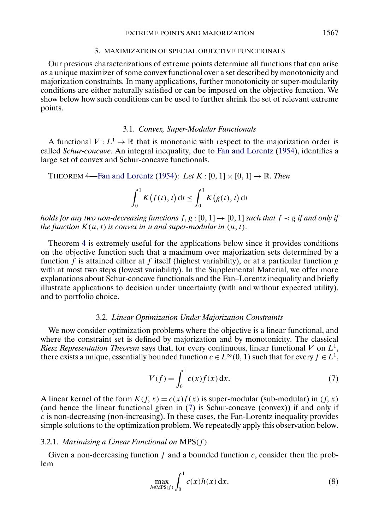### 3. MAXIMIZATION OF SPECIAL OBJECTIVE FUNCTIONALS

<span id="page-10-0"></span>Our previous characterizations of extreme points determine all functions that can arise as a unique maximizer of some convex functional over a set described by monotonicity and majorization constraints. In many applications, further monotonicity or super-modularity conditions are either naturally satisfied or can be imposed on the objective function. We show below how such conditions can be used to further shrink the set of relevant extreme points.

### 3.1. *Convex, Super-Modular Functionals*

A functional  $V: L^1 \to \mathbb{R}$  that is monotonic with respect to the majorization order is called *Schur-concave*. An integral inequality, due to [Fan and Lorentz](#page-35-0) [\(1954\)](#page-35-0), identifies a large set of convex and Schur-concave functionals.

THEOREM 4[—Fan and Lorentz](#page-35-0) [\(1954\)](#page-35-0): *Let*  $K : [0, 1] \times [0, 1] \rightarrow \mathbb{R}$ . *Then* 

$$
\int_0^1 K(f(t),t) dt \leq \int_0^1 K(g(t),t) dt
$$

holds for any two non-decreasing functions  $f, g : [0, 1] \rightarrow [0, 1]$  such that  $f \prec g$  if and only if *the function*  $K(u, t)$  is convex in u and super-modular in  $(u, t)$ .

Theorem 4 is extremely useful for the applications below since it provides conditions on the objective function such that a maximum over majorization sets determined by a function f is attained either at f itself (highest variability), or at a particular function g with at most two steps (lowest variability). In the Supplemental Material, we offer more explanations about Schur-concave functionals and the Fan–Lorentz inequality and briefly illustrate applications to decision under uncertainty (with and without expected utility), and to portfolio choice.

### 3.2. *Linear Optimization Under Majorization Constraints*

We now consider optimization problems where the objective is a linear functional, and where the constraint set is defined by majorization and by monotonicity. The classical *Riesz Representation Theorem* says that, for every continuous, linear functional  $V$  on  $L^1$ , there exists a unique, essentially bounded function  $c \in L^{\infty}(0, 1)$  such that for every  $f \in L^1$ ,

$$
V(f) = \int_0^1 c(x)f(x) \, dx.
$$
 (7)

A linear kernel of the form  $K(f, x) = c(x) f(x)$  is super-modular (sub-modular) in  $(f, x)$ (and hence the linear functional given in (7) is Schur-concave (convex)) if and only if  $c$  is non-decreasing (non-increasing). In these cases, the Fan-Lorentz inequality provides simple solutions to the optimization problem. We repeatedly apply this observation below.

# 3.2.1. *Maximizing a Linear Functional on* MPS(f )

Given a non-decreasing function  $f$  and a bounded function  $c$ , consider then the problem

$$
\max_{h \in \text{MPS}(f)} \int_0^1 c(x)h(x) \, \mathrm{d}x. \tag{8}
$$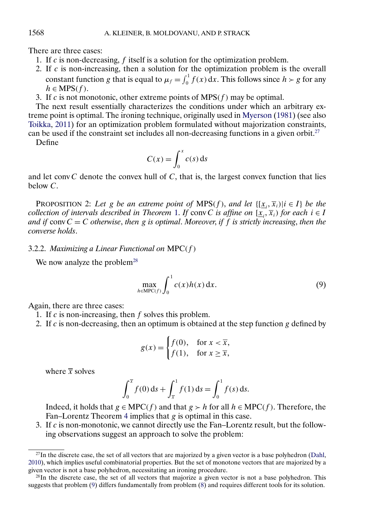There are three cases:

- 1. If  $c$  is non-decreasing,  $f$  itself is a solution for the optimization problem.
- 2. If  $c$  is non-increasing, then a solution for the optimization problem is the overall constant function g that is equal to  $\mu_f = \int_0^1 f(x) dx$ . This follows since  $h > g$  for any  $h \in \text{MPS}(f)$ .
- 3. If c is not monotonic, other extreme points of  $MPS(f)$  may be optimal.

The next result essentially characterizes the conditions under which an arbitrary extreme point is optimal. The ironing technique, originally used in [Myerson](#page-36-0) [\(1981\)](#page-36-0) (see also [Toikka,](#page-36-0) [2011\)](#page-36-0) for an optimization problem formulated without majorization constraints, can be used if the constraint set includes all non-decreasing functions in a given orbit.<sup>27</sup> Define

$$
C(x) = \int_0^x c(s) \, \mathrm{d} s
$$

and let conv $C$  denote the convex hull of  $C$ , that is, the largest convex function that lies below C.

PROPOSITION 2: Let g be an extreme point of  $MPS(f)$ , and let  $\{[\underline{x}_i, \overline{x}_i\} | i \in I\}$  be the *collection of intervals described in Theorem [1.](#page-4-0) If conv C is affine on*  $[\underline{x}_i, \overline{x}_i)$  *for each*  $i \in I$ *and if*  $convC = C$  *otherwise, then* g *is optimal. Moreover, if* f *is strictly increasing, then the converse holds*.

## 3.2.2. *Maximizing a Linear Functional on* MPC(f )

We now analyze the problem<sup>28</sup>

$$
\max_{h \in \text{MPC}(f)} \int_0^1 c(x)h(x) \, \mathrm{d}x. \tag{9}
$$

Again, there are three cases:

- 1. If  $c$  is non-increasing, then  $f$  solves this problem.
- 2. If c is non-decreasing, then an optimum is obtained at the step function g defined by

$$
g(x) = \begin{cases} f(0), & \text{for } x < \overline{x}, \\ f(1), & \text{for } x \ge \overline{x}, \end{cases}
$$

where  $\bar{x}$  solves

$$
\int_0^{\overline{x}} f(0) \, ds + \int_{\overline{x}}^1 f(1) \, ds = \int_0^1 f(s) \, ds.
$$

Indeed, it holds that  $g \in \text{MPC}(f)$  and that  $g > h$  for all  $h \in \text{MPC}(f)$ . Therefore, the Fan–Lorentz Theorem [4](#page-10-0) implies that  $g$  is optimal in this case.

3. If  $c$  is non-monotonic, we cannot directly use the Fan–Lorentz result, but the following observations suggest an approach to solve the problem:

<span id="page-11-0"></span>

 $^{27}$ In the discrete case, the set of all vectors that are majorized by a given vector is a base polyhedron [\(Dahl,](#page-35-0) [2010\)](#page-35-0), which implies useful combinatorial properties. But the set of monotone vectors that are majorized by a given vector is not a base polyhedron, necessitating an ironing procedure.

 $^{28}$ In the discrete case, the set of all vectors that majorize a given vector is not a base polyhedron. This suggests that problem (9) differs fundamentally from problem [\(8\)](#page-10-0) and requires different tools for its solution.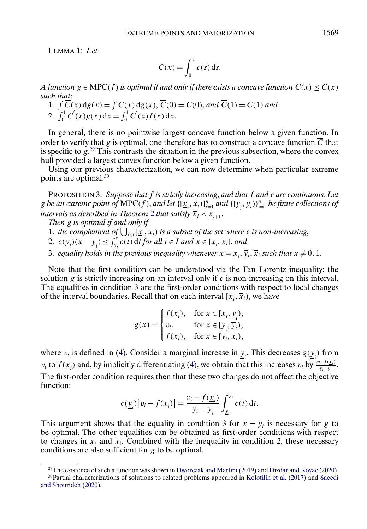<span id="page-12-0"></span>LEMMA 1: *Let*

$$
C(x) = \int_0^x c(s) \, \mathrm{d} s.
$$

*A function*  $g \in \text{MPC}(f)$  *is optimal if and only if there exists a concave function*  $C(x) \leq C(x)$ *such that*:

1. 
$$
\int \overline{C}(x) \, dg(x) = \int C(x) \, dg(x), \overline{C}(0) = C(0), \text{ and } \overline{C}(1) = C(1) \text{ and}
$$
  
2. 
$$
\int_0^1 \overline{C}'(x) g(x) \, dx = \int_0^1 \overline{C}'(x) f(x) \, dx.
$$

In general, there is no pointwise largest concave function below a given function. In order to verify that g is optimal, one therefore has to construct a concave function  $\overline{C}$  that is specific to  $g^{29}$ . This contrasts the situation in the previous subsection, where the convex hull provided a largest convex function below a given function.

Using our previous characterization, we can now determine when particular extreme points are optimal.30

PROPOSITION 3: *Suppose that* f *is strictly increasing*, *and that* f *and* c *are continuous*. *Let*  $g$  *be an extreme point of MPC(f), and let*  $\{[\underline{x}_i,\overline{x}_i)\}_{i=1}^n$  *and*  $\{[\underline{y}_i,\overline{y}_i)\}_{i=1}^n$  *be finite collections of intervals as described in Theorem [2](#page-5-0) that satisfy*  $\overline{x}_i < \underline{x}_{i+1}$ .

*Then* g *is optimal if and only if*

- 1. *the complement of*  $\bigcup_{i \in I} [\underline{x}_i, \overline{x}_i]$  *is a subset of the set where c is non-increasing*,
- 2.  $c(\underline{y}_i)(x \underline{y}_i) \le \int_{\underline{y}_i}^x c(t) dt$  *for all*  $i \in I$  *and*  $x \in [\underline{x}_i, \overline{x}_i]$ *, and*
- 3. equality holds in the previous inequality whenever  $x = \underline{x}_i$ ,  $\overline{y}_i$ ,  $\overline{x}_i$  such that  $x \neq 0, 1$ .

Note that the first condition can be understood via the Fan–Lorentz inequality: the solution g is strictly increasing on an interval only if c is non-increasing on this interval. The equalities in condition 3 are the first-order conditions with respect to local changes of the interval boundaries. Recall that on each interval  $[\underline{x}_i, \overline{x}_i)$ , we have

$$
g(x) = \begin{cases} f(\underline{x}_i), & \text{for } x \in [\underline{x}_i, \underline{y}_i), \\ v_i, & \text{for } x \in [\underline{y}_i, \overline{y}_i), \\ f(\overline{x}_i), & \text{for } x \in [\overline{y}_i, \overline{x}_i), \end{cases}
$$

where  $v_i$  is defined in [\(4\)](#page-5-0). Consider a marginal increase in  $\underline{y}_i$ . This decreases  $g(\underline{y}_i)$  from  $v_i$  to  $f(\underline{x}_i)$  and, by implicitly differentiating [\(4\)](#page-5-0), we obtain that this increases  $v_i$  by  $\frac{v_i - f(\underline{x}_i)}{\overline{y}_i - \underline{y}_i}$ . The first-order condition requires then that these two changes do not affect the objective function:

$$
c(\underline{y}_i)[v_i - f(\underline{x}_i)] = \frac{v_i - f(\underline{x}_i)}{\overline{y}_i - \underline{y}_i} \int_{\underline{y}_i}^{\overline{y}_i} c(t) dt.
$$

This argument shows that the equality in condition 3 for  $x = \overline{y}_i$  is necessary for g to be optimal. The other equalities can be obtained as first-order conditions with respect to changes in  $x_i$  and  $\bar{x}_i$ . Combined with the inequality in condition 2, these necessary conditions are also sufficient for g to be optimal.

<sup>&</sup>lt;sup>29</sup>The existence of such a function was shown in [Dworczak and Martini](#page-35-0) [\(2019\)](#page-35-0) and [Dizdar and Kovac](#page-35-0) [\(2020\)](#page-35-0).

<sup>30</sup>Partial characterizations of solutions to related problems appeared in [Kolotilin et al.](#page-36-0) [\(2017\)](#page-36-0) and [Saeedi](#page-36-0) [and Shourideh](#page-36-0) [\(2020\)](#page-36-0).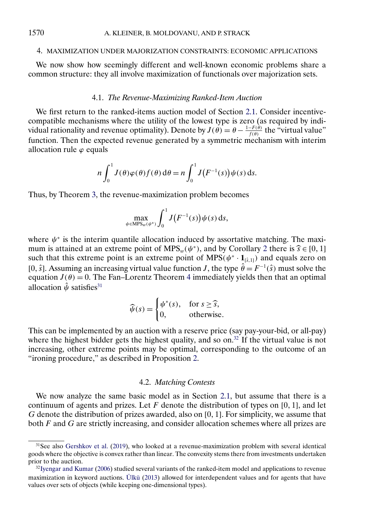### <span id="page-13-0"></span>4. MAXIMIZATION UNDER MAJORIZATION CONSTRAINTS: ECONOMIC APPLICATIONS

We now show how seemingly different and well-known economic problems share a common structure: they all involve maximization of functionals over majorization sets.

## 4.1. *The Revenue-Maximizing Ranked-Item Auction*

We first return to the ranked-items auction model of Section [2.1.](#page-7-0) Consider incentivecompatible mechanisms where the utility of the lowest type is zero (as required by individual rationality and revenue optimality). Denote by  $J(\theta) = \theta - \frac{1-F(\theta)}{f(\theta)}$  the "virtual value" function. Then the expected revenue generated by a symmetric mechanism with interim allocation rule  $\varphi$  equals

$$
n\int_0^1 J(\theta)\varphi(\theta)f(\theta) d\theta = n\int_0^1 J(F^{-1}(s))\psi(s) ds.
$$

Thus, by Theorem [3,](#page-8-0) the revenue-maximization problem becomes

$$
\max_{\psi \in \text{MPS}_w(\psi^*)} \int_0^1 J\bigl(F^{-1}(s)\bigr) \psi(s) \, \mathrm{d} s,
$$

where  $\psi^*$  is the interim quantile allocation induced by assortative matching. The maximum is attained at an extreme point of  $MPS_w(\psi^*)$ , and by Corollary [2](#page-5-0) there is  $\widehat{s} \in [0, 1]$ <br>such that this extreme point is an extreme point of  $MPS(\mathcal{U}^*|1)$  and equals zero on such that this extreme point is an extreme point of MPS( $\psi^* \cdot \mathbf{1}_{[s,1]}$ ) and equals zero on [0,  $\hat{s}$ ]. Assuming an increasing virtual value function *J*, the type  $\hat{\theta} = F^{-1}(\hat{s})$  must solve the equation  $J(\theta) = 0$ . The Fan–Lorentz Theorem [4](#page-10-0) immediately yields then that an optimal allocation  $\hat{\psi}$  satisfies<sup>31</sup>

$$
\widehat{\psi}(s) = \begin{cases} \psi^*(s), & \text{for } s \ge \widehat{s}, \\ 0, & \text{otherwise.} \end{cases}
$$

This can be implemented by an auction with a reserve price (say pay-your-bid, or all-pay) where the highest bidder gets the highest quality, and so on.<sup>32</sup> If the virtual value is not increasing, other extreme points may be optimal, corresponding to the outcome of an "ironing procedure," as described in Proposition [2.](#page-11-0)

## 4.2. *Matching Contests*

We now analyze the same basic model as in Section [2.1,](#page-7-0) but assume that there is a continuum of agents and prizes. Let  $F$  denote the distribution of types on [0, 1], and let  $G$  denote the distribution of prizes awarded, also on  $[0, 1]$ . For simplicity, we assume that both  $F$  and  $G$  are strictly increasing, and consider allocation schemes where all prizes are

<sup>&</sup>lt;sup>31</sup>See also [Gershkov et al.](#page-35-0) [\(2019\)](#page-35-0), who looked at a revenue-maximization problem with several identical goods where the objective is convex rather than linear. The convexity stems there from investments undertaken prior to the auction.

<sup>&</sup>lt;sup>32</sup> Iyengar and Kumar [\(2006\)](#page-35-0) studied several variants of the ranked-item model and applications to revenue maximization in keyword auctions. [Ülkü](#page-36-0) [\(2013\)](#page-36-0) allowed for interdependent values and for agents that have values over sets of objects (while keeping one-dimensional types).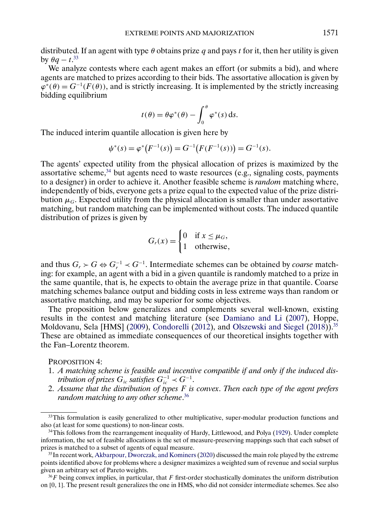<span id="page-14-0"></span>distributed. If an agent with type  $\theta$  obtains prize q and pays t for it, then her utility is given by  $\theta q - t^{33}$ 

We analyze contests where each agent makes an effort (or submits a bid), and where agents are matched to prizes according to their bids. The assortative allocation is given by  $\varphi^*(\theta) = G^{-1}(F(\theta))$ , and is strictly increasing. It is implemented by the strictly increasing bidding equilibrium

$$
t(\theta) = \theta \varphi^*(\theta) - \int_0^{\theta} \varphi^*(s) \, ds.
$$

The induced interim quantile allocation is given here by

$$
\psi^*(s) = \varphi^*\big(F^{-1}(s)\big) = G^{-1}\big(F(F^{-1}(s))\big) = G^{-1}(s).
$$

The agents' expected utility from the physical allocation of prizes is maximized by the assortative scheme,<sup>34</sup> but agents need to waste resources (e.g., signaling costs, payments to a designer) in order to achieve it. Another feasible scheme is *random* matching where, independently of bids, everyone gets a prize equal to the expected value of the prize distribution  $\mu_G$ . Expected utility from the physical allocation is smaller than under assortative matching, but random matching can be implemented without costs. The induced quantile distribution of prizes is given by

$$
G_r(x) = \begin{cases} 0 & \text{if } x \le \mu_G, \\ 1 & \text{otherwise,} \end{cases}
$$

and thus  $G_r$  ≻  $G$   $\Leftrightarrow$   $G_r^{-1}$   $\prec$   $G^{-1}$ . Intermediate schemes can be obtained by *coarse* matching: for example, an agent with a bid in a given quantile is randomly matched to a prize in the same quantile, that is, he expects to obtain the average prize in that quantile. Coarse matching schemes balance output and bidding costs in less extreme ways than random or assortative matching, and may be superior for some objectives.

The proposition below generalizes and complements several well-known, existing results in the contest and matching literature (see [Damiano and Li](#page-35-0) [\(2007\)](#page-35-0), Hoppe, Moldovanu, Sela [HMS] [\(2009\)](#page-35-0), [Condorelli](#page-35-0) [\(2012\)](#page-35-0), and [Olszewski and Siegel](#page-36-0) [\(2018\)](#page-36-0)).<sup>35</sup> These are obtained as immediate consequences of our theoretical insights together with the Fan–Lorentz theorem.

PROPOSITION 4:

- 1. *A matching scheme is feasible and incentive compatible if and only if the induced distribution of prizes*  $G_{ic}$  *satisfies*  $G_{ic}^{-1} \prec G^{-1}$ .
- 2. *Assume that the distribution of types* F *is convex*. *Then each type of the agent prefers random matching to any other scheme*. 36

<sup>&</sup>lt;sup>33</sup>This formulation is easily generalized to other multiplicative, super-modular production functions and also (at least for some questions) to non-linear costs.

<sup>&</sup>lt;sup>34</sup>This follows from the rearrangement inequality of Hardy, Littlewood, and Polya [\(1929\)](#page-35-0). Under complete information, the set of feasible allocations is the set of measure-preserving mappings such that each subset of prizes is matched to a subset of agents of equal measure.

<sup>&</sup>lt;sup>35</sup>In recent work, [Akbarpour, Dworczak, and Kominers](#page-35-0) [\(2020\)](#page-35-0) discussed the main role played by the extreme points identified above for problems where a designer maximizes a weighted sum of revenue and social surplus given an arbitrary set of Pareto weights.

 $36F$  being convex implies, in particular, that F first-order stochastically dominates the uniform distribution on [0- 1]. The present result generalizes the one in HMS, who did not consider intermediate schemes. See also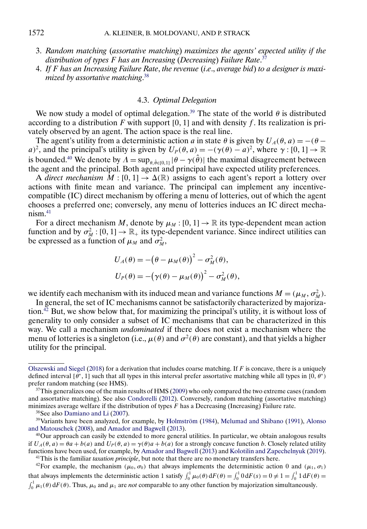- <span id="page-15-0"></span>3. *Random matching* (*assortative matching*) *maximizes the agents' expected utility if the distribution of types* F *has an Increasing* (*Decreasing*) *Failure Rate*. 37
- 4. *If* F *has an Increasing Failure Rate*, *the revenue* (*i*.*e*., *average bid*) *to a designer is maximized by assortative matching*. 38

# 4.3. *Optimal Delegation*

We now study a model of optimal delegation.<sup>39</sup> The state of the world  $\theta$  is distributed according to a distribution F with support  $[0, 1]$  and with density f. Its realization is privately observed by an agent. The action space is the real line.

The agent's utility from a deterministic action a in state  $\theta$  is given by  $U_A(\theta, a) = -(\theta - \theta)$ a)<sup>2</sup>, and the principal's utility is given by  $U_P(\theta, a) = -(\gamma(\theta) - a)^2$ , where  $\gamma : [0, 1] \to \mathbb{R}$ is bounded.<sup>40</sup> We denote by  $\Lambda = \sup_{\theta, \hat{\theta} \in [0,1]} |\theta - \gamma(\hat{\theta})|$  the maximal disagreement between the agent and the principal. Both agent and principal have expected utility preferences.

A *direct mechanism*  $\overline{M}$  : [0, 1]  $\rightarrow \Delta(\mathbb{R})$  assigns to each agent's report a lottery over actions with finite mean and variance. The principal can implement any incentivecompatible (IC) direct mechanism by offering a menu of lotteries, out of which the agent chooses a preferred one; conversely, any menu of lotteries induces an IC direct mecha $n$ ism $41$ 

For a direct mechanism M, denote by  $\mu_M : [0, 1] \to \mathbb{R}$  its type-dependent mean action function and by  $\sigma_M^2$ :  $[0, 1] \to \mathbb{R}_+$  its type-dependent variance. Since indirect utilities can be expressed as a function of  $\mu_M$  and  $\sigma_M^2$ ,

$$
U_A(\theta) = -(\theta - \mu_M(\theta))^2 - \sigma_M^2(\theta),
$$
  
\n
$$
U_P(\theta) = -(\gamma(\theta) - \mu_M(\theta))^2 - \sigma_M^2(\theta),
$$

we identify each mechanism with its induced mean and variance functions  $M = (\mu_M, \sigma_M^2)$ .

In general, the set of IC mechanisms cannot be satisfactorily characterized by majorization.<sup>42</sup> But, we show below that, for maximizing the principal's utility, it is without loss of generality to only consider a subset of IC mechanisms that can be characterized in this way. We call a mechanism *undominated* if there does not exist a mechanism where the menu of lotteries is a singleton (i.e.,  $\mu(\theta)$  and  $\sigma^2(\theta)$  are constant), and that yields a higher utility for the principal.

<sup>42</sup>For example, the mechanism ( $\mu_0, \sigma_0$ ) that always implements the deterministic action 0 and ( $\mu_1, \sigma_1$ )

that always implements the deterministic action 1 satisfy  $\int_0^1 \mu_0(\theta) dF(\theta) = \int_0^1 0 dF(s) = 0 \neq 1 = \int_0^1 1 dF(\theta) = \int_0^1 \mu_1(\theta) dF(\theta)$ . Thus,  $\mu_0$  and  $\mu_1$  are *not* comparable to any other function by majorization simu

[Olszewski and Siegel](#page-36-0) [\(2018\)](#page-36-0) for a derivation that includes coarse matching. If  $F$  is concave, there is a uniquely defined interval  $[\theta^*, 1]$  such that all types in this interval prefer assortative matching while all types in  $[0, \theta^*)$ prefer random matching (see HMS).

 $37$ This generalizes one of the main results of HMS [\(2009\)](#page-35-0) who only compared the two extreme cases (random and assortative matching). See also [Condorelli](#page-35-0) [\(2012\)](#page-35-0). Conversely, random matching (assortative matching) minimizes average welfare if the distribution of types  $\ddot{F}$  has a Decreasing (Increasing) Failure rate.

<sup>38</sup>See also [Damiano and Li](#page-35-0) [\(2007\)](#page-35-0).

<sup>39</sup>Variants have been analyzed, for example, by [Holmström](#page-35-0) [\(1984\)](#page-35-0), [Melumad and Shibano](#page-36-0) [\(1991\)](#page-36-0), [Alonso](#page-35-0) [and Matouschek](#page-35-0) [\(2008\)](#page-35-0), and [Amador and Bagwell](#page-35-0) [\(2013\)](#page-35-0).

<sup>40</sup>Our approach can easily be extended to more general utilities. In particular, we obtain analogous results if  $U_A(\theta, a) = \theta a + b(a)$  and  $U_P(\theta, a) = \gamma(\theta)a + b(a)$  for a strongly concave function b. Closely related utility functions have been used, for example, by [Amador and Bagwell](#page-35-0) [\(2013\)](#page-35-0) and [Kolotilin and Zapechelnyuk](#page-36-0) [\(2019\)](#page-36-0). 41This is the familiar *taxation principle*, but note that there are no monetary transfers here.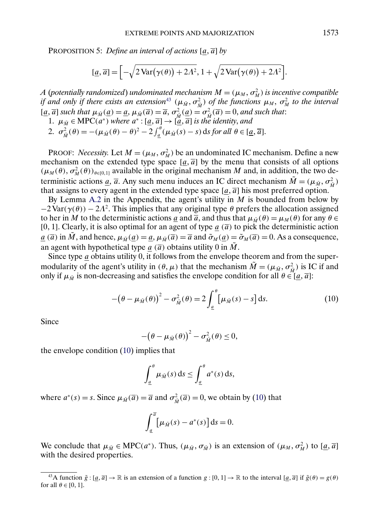<span id="page-16-0"></span>PROPOSITION 5: *Define an interval of actions* [a,  $\overline{a}$ ] *by* 

$$
[\underline{a}, \overline{a}] = \Big[ -\sqrt{2 \operatorname{Var}(\gamma(\theta)) + 2\Lambda^2}, 1 + \sqrt{2 \operatorname{Var}(\gamma(\theta)) + 2\Lambda^2} \Big].
$$

*A* (potentially randomized) undominated mechanism  $M = (\mu_M, \sigma_M^2)$  is incentive compatible *if and only if there exists an extension*<sup>43</sup>  $(\mu_{\tilde{M}}, \sigma_{\tilde{M}}^2)$  *of the functions*  $\mu_M$ ,  $\sigma_M^2$  *to the interval*  $[\underline{a}, \overline{a}]$  *such that*  $\mu_{\tilde{M}}(\underline{a}) = \underline{a}, \mu_{\tilde{M}}(\overline{a}) = \overline{a}, \sigma_{\tilde{M}}^2(\underline{a}) = \sigma_{\tilde{M}}^2(\overline{a}) = 0$ , and such that: 1.  $\mu_{\tilde{M}} \in \text{MPC}(a^*)$  *where*  $a^* : [\underline{a}, \overline{a}] \rightarrow [\underline{a}, \overline{a}]$  *is the identity, and* 2.  $\sigma_{\tilde{M}}^2(\theta) = -(\mu_{\tilde{M}}(\theta) - \theta)^2 - 2 \int_a^{\theta} (\mu_{\tilde{M}}(s) - s) \, \mathrm{d} s \, \text{for all } \theta \in [\underline{a}, \overline{a}].$ 

PROOF: *Necessity*. Let  $M = (\mu_M, \sigma_M^2)$  be an undominated IC mechanism. Define a new mechanism on the extended type space  $[a, \overline{a}]$  by the menu that consists of all options  $(\mu_M(\theta), \sigma_M^2(\theta))_{\theta \in [0,1]}$  available in the original mechanism M and, in addition, the two deterministic actions <u>a</u>,  $\overline{a}$ . Any such menu induces an IC direct mechanism  $\tilde{M} = (\mu_{\tilde{M}}, \sigma_{\tilde{M}}^2)$ that assigns to every agent in the extended type space  $[\underline{a}, \overline{a}]$  his most preferred option.

By Lemma [A.2](#page-34-0) in the Appendix, the agent's utility in  $M$  is bounded from below by  $-2 \text{Var}(\gamma(\theta)) - 2\Lambda^2$ . This implies that any original type  $\theta$  prefers the allocation assigned to her in M to the deterministic actions <u>a</u> and  $\overline{a}$ , and thus that  $\mu_{\tilde{M}}(\theta) = \mu_M(\theta)$  for any  $\theta \in$ [0, 1]. Clearly, it is also optimal for an agent of type  $\underline{a}$  ( $\overline{a}$ ) to pick the deterministic action  $\underline{a}(\overline{a})$  in  $\tilde{M}$ , and hence,  $\mu_{\tilde{M}}(\underline{a}) = \underline{a}$ ,  $\mu_{\tilde{M}}(\overline{a}) = \overline{a}$  and  $\tilde{\sigma}_M(\underline{a}) = \tilde{\sigma}_M(\overline{a}) = 0$ . As a consequence, an agent with hypothetical type  $a(\overline{a})$  obtains utility 0 in  $\tilde{M}$ .

Since type  $a$  obtains utility  $0$ , it follows from the envelope theorem and from the supermodularity of the agent's utility in  $(\theta, \mu)$  that the mechanism  $\tilde{M} = (\mu_{\tilde{M}}, \sigma_{\tilde{M}}^2)$  is IC if and only if  $\mu_{\tilde{M}}$  is non-decreasing and satisfies the envelope condition for all  $\theta \in [\underline{a}, \overline{a}]$ :

$$
-(\theta - \mu_{\tilde{M}}(\theta))^2 - \sigma_{\tilde{M}}^2(\theta) = 2 \int_{\underline{a}}^{\theta} \left[ \mu_{\tilde{M}}(s) - s \right] ds.
$$
 (10)

Since

$$
-(\theta-\mu_{\tilde{M}}(\theta))^{2}-\sigma_{\tilde{M}}^{2}(\theta)\leq 0,
$$

the envelope condition (10) implies that

$$
\int_{\underline{a}}^{\theta} \mu_{\tilde{M}}(s) \, ds \leq \int_{\underline{a}}^{\theta} a^*(s) \, ds,
$$

where  $a^*(s) = s$ . Since  $\mu_{\tilde{M}}(\overline{a}) = \overline{a}$  and  $\sigma_{\tilde{M}}^2(\overline{a}) = 0$ , we obtain by (10) that

$$
\int_{\underline{a}}^{\overline{a}} \left[ \mu_{\tilde{M}}(s) - a^*(s) \right] ds = 0.
$$

We conclude that  $\mu_{\tilde{M}} \in \text{MPC}(a^*)$ . Thus,  $(\mu_{\tilde{M}}, \sigma_{\tilde{M}})$  is an extension of  $(\mu_M, \sigma_M^2)$  to  $[\underline{a}, \overline{a}]$ with the desired properties.

<sup>&</sup>lt;sup>43</sup>A function  $\tilde{g} : [\underline{a}, \overline{a}] \to \mathbb{R}$  is an extension of a function  $g : [0, 1] \to \mathbb{R}$  to the interval  $[\underline{a}, \overline{a}]$  if  $\tilde{g}(\theta) = g(\theta)$ for all  $\theta \in [0, 1]$ .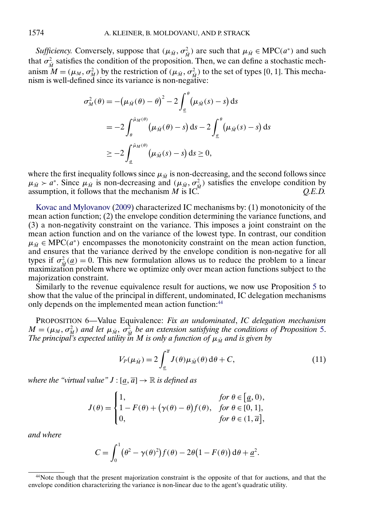<span id="page-17-0"></span>*Sufficiency.* Conversely, suppose that  $(\mu_{\tilde{M}}, \sigma_{\tilde{M}}^2)$  are such that  $\mu_{\tilde{M}} \in \text{MPC}(a^*)$  and such that  $\sigma_{\tilde{M}}^2$  satisfies the condition of the proposition. Then, we can define a stochastic mechanism  $M = (\mu_M, \sigma_M^2)$  by the restriction of  $(\mu_M, \sigma_M^2)$  to the set of types [0, 1]. This mechanism is well-defined since its variance is non-negative:

$$
\sigma_M^2(\theta) = -(\mu_{\tilde{M}}(\theta) - \theta)^2 - 2 \int_{\underline{a}}^{\theta} (\mu_{\tilde{M}}(s) - s) ds
$$
  
= 
$$
-2 \int_{\theta}^{\tilde{\mu}_M(\theta)} (\mu_{\tilde{M}}(\theta) - s) ds - 2 \int_{\underline{a}}^{\theta} (\mu_{\tilde{M}}(s) - s) ds
$$
  

$$
\geq -2 \int_{\underline{a}}^{\tilde{\mu}_M(\theta)} (\mu_{\tilde{M}}(s) - s) ds \geq 0,
$$

where the first inequality follows since  $\mu_{\tilde{M}}$  is non-decreasing, and the second follows since  $\mu_{\tilde{M}} > a^*$ . Since  $\mu_{\tilde{M}}$  is non-decreasing and  $(\mu_{\tilde{M}}, \sigma^2_{\tilde{M}})$  satisfies the envelope condition by assumption, it follows that the mechanism M is IC. *Q.E.D.*

[Kovac and Mylovanov](#page-36-0) [\(2009\)](#page-36-0) characterized IC mechanisms by: (1) monotonicity of the mean action function; (2) the envelope condition determining the variance functions, and (3) a non-negativity constraint on the variance. This imposes a joint constraint on the mean action function and on the variance of the lowest type. In contrast, our condition  $\mu_{\tilde{M}} \in \text{MPC}(a^*)$  encompasses the monotonicity constraint on the mean action function, and ensures that the variance derived by the envelope condition is non-negative for all types if  $\sigma_{\tilde{M}}^2(\underline{a}) = 0$ . This new formulation allows us to reduce the problem to a linear maximization problem where we optimize only over mean action functions subject to the majorization constraint.

Similarly to the revenue equivalence result for auctions, we now use Proposition [5](#page-16-0) to show that the value of the principal in different, undominated, IC delegation mechanisms only depends on the implemented mean action function:<sup>44</sup>

PROPOSITION 6—Value Equivalence: *Fix an undominated*, *IC delegation mechanism*  $M = (\mu_M, \sigma_M^2)$  and let  $\mu_{\tilde{M}}, \sigma_{\tilde{M}}^2$  be an extension satisfying the conditions of Proposition [5.](#page-16-0) *The principal's expected utility in M is only a function of*  $\mu_{\tilde M}$  *and is given by* 

$$
V_P(\mu_{\tilde{M}}) = 2 \int_{\underline{a}}^{\overline{a}} J(\theta) \mu_{\tilde{M}}(\theta) d\theta + C,
$$
\n(11)

where the "virtual value"  $J : [\underline{a}, \overline{a}] \rightarrow \mathbb{R}$  is defined as

$$
J(\theta) = \begin{cases} 1, & \text{for } \theta \in [\underline{a}, 0), \\ 1 - F(\theta) + (\gamma(\theta) - \theta) f(\theta), & \text{for } \theta \in [0, 1], \\ 0, & \text{for } \theta \in (1, \overline{a}], \end{cases}
$$

*and where*

$$
C = \int_0^1 (\theta^2 - \gamma(\theta)^2) f(\theta) - 2\theta (1 - F(\theta)) d\theta + \underline{a}^2.
$$

<sup>44</sup>Note though that the present majorization constraint is the opposite of that for auctions, and that the envelope condition characterizing the variance is non-linear due to the agent's quadratic utility.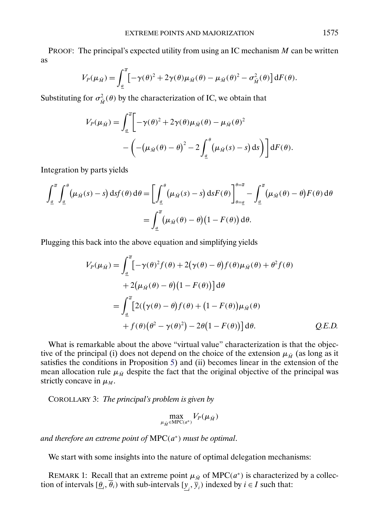PROOF: The principal's expected utility from using an IC mechanism M can be written as

$$
V_P(\mu_{\tilde{M}}) = \int_{\underline{a}}^{\overline{a}} \left[ -\gamma(\theta)^2 + 2\gamma(\theta)\mu_{\tilde{M}}(\theta) - \mu_{\tilde{M}}(\theta)^2 - \sigma_{\tilde{M}}^2(\theta) \right] dF(\theta).
$$

Substituting for  $\sigma_{\tilde{M}}^2(\theta)$  by the characterization of IC, we obtain that

$$
V_P(\mu_{\tilde{M}}) = \int_{\underline{a}}^{\overline{a}} \left[ -\gamma(\theta)^2 + 2\gamma(\theta)\mu_{\tilde{M}}(\theta) - \mu_{\tilde{M}}(\theta)^2 - \left( -(\mu_{\tilde{M}}(\theta) - \theta)^2 - 2\int_{\underline{a}}^{\theta} (\mu_{\tilde{M}}(s) - s) \, ds \right) \right] dF(\theta).
$$

Integration by parts yields

$$
\int_{\underline{a}}^{\overline{a}} \int_{\underline{a}}^{\theta} (\mu_{\tilde{M}}(s) - s) \, \mathrm{d}s f(\theta) \, \mathrm{d}\theta = \left[ \int_{\underline{a}}^{\theta} (\mu_{\tilde{M}}(s) - s) \, \mathrm{d}s F(\theta) \right]_{\theta = \underline{a}}^{\theta = \overline{a}} - \int_{\underline{a}}^{\overline{a}} (\mu_{\tilde{M}}(\theta) - \theta) F(\theta) \, \mathrm{d}\theta
$$
\n
$$
= \int_{\underline{a}}^{\overline{a}} (\mu_{\tilde{M}}(\theta) - \theta) (1 - F(\theta)) \, \mathrm{d}\theta.
$$

Plugging this back into the above equation and simplifying yields

$$
V_P(\mu_{\tilde{M}}) = \int_{\underline{a}}^{\overline{a}} \left[ -\gamma(\theta)^2 f(\theta) + 2(\gamma(\theta) - \theta) f(\theta) \mu_{\tilde{M}}(\theta) + \theta^2 f(\theta) \right. \\ \left. + 2(\mu_{\tilde{M}}(\theta) - \theta) (1 - F(\theta)) \right] d\theta
$$

$$
= \int_{\underline{a}}^{\overline{a}} \left[ 2((\gamma(\theta) - \theta) f(\theta) + (1 - F(\theta)) \mu_{\tilde{M}}(\theta) \right. \\ \left. + f(\theta) (\theta^2 - \gamma(\theta)^2) - 2\theta (1 - F(\theta)) \right] d\theta. \qquad Q.E.D.
$$

What is remarkable about the above "virtual value" characterization is that the objective of the principal (i) does not depend on the choice of the extension  $\mu_{\tilde{M}}$  (as long as it satisfies the conditions in Proposition [5\)](#page-16-0) and (ii) becomes linear in the extension of the mean allocation rule  $\mu_{\tilde{M}}$  despite the fact that the original objective of the principal was strictly concave in  $\mu_M$ .

COROLLARY 3: *The principal's problem is given by*

$$
\max_{\mu_{\tilde{M}} \in \text{MPC}(a^*)} V_P(\mu_{\tilde{M}})
$$

*and therefore an extreme point of* MPC(a<sup>∗</sup>) *must be optimal*.

We start with some insights into the nature of optimal delegation mechanisms:

REMARK 1: Recall that an extreme point  $\mu_{\tilde{M}}$  of MPC( $a^*$ ) is characterized by a collection of intervals  $[\underline{\theta}_i, \overline{\theta}_i)$  with sub-intervals  $[\underline{y}_i, \overline{y}_i)$  indexed by  $i \in I$  such that: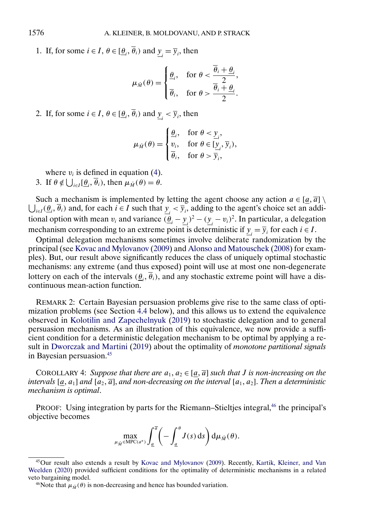1. If, for some  $i \in I$ ,  $\theta \in [\underline{\theta}_i, \overline{\theta}_i)$  and  $\underline{y}_i = \overline{y}_i$ , then

$$
\mu_{\tilde{M}}(\theta) = \begin{cases} \frac{\theta}{\theta_i}, & \text{for } \theta < \frac{\overline{\theta}_i + \underline{\theta}_i}{2}, \\ \overline{\theta}_i, & \text{for } \theta > \frac{\overline{\theta}_i + \underline{\theta}_i}{2}. \end{cases}
$$

2. If, for some  $i \in I$ ,  $\theta \in [\underline{\theta}_i, \overline{\theta}_i)$  and  $\underline{y}_i < \overline{y}_i$ , then

$$
\mu_{\tilde{M}}(\theta) = \begin{cases} \frac{\theta}{\nu_i}, & \text{for } \theta < \underline{y}_i, \\ v_i, & \text{for } \theta \in [\underline{y}_i, \overline{y}_i), \\ \overline{\theta}_i, & \text{for } \theta > \overline{y}_i, \end{cases}
$$

where  $v_i$  is defined in equation [\(4\)](#page-5-0).

3. If  $\theta \notin \bigcup_{i \in I} [\underline{\theta}_i, \overline{\theta}_i)$ , then  $\mu_{\tilde{M}}(\theta) = \theta$ .

 $\bigcup_{i\in I} (\underline{\theta}_i, \overline{\theta}_i)$  and, for each  $i \in I$  such that  $\underline{y}_i < \overline{y}_i$ , adding to the agent's choice set an addi-Such a mechanism is implemented by letting the agent choose any action  $a \in [\underline{a}, \overline{a}] \setminus \overline{a}$ tional option with mean  $v_i$  and variance  $(\underline{\theta}_i - \underline{y}_i)^2 - (\underline{y}_i - v_i)^2$ . In particular, a delegation mechanism corresponding to an extreme point is deterministic if  $\underline{y}_i = \overline{y}_i$  for each  $i \in I$ .

Optimal delegation mechanisms sometimes involve deliberate randomization by the principal (see [Kovac and Mylovanov](#page-36-0) [\(2009\)](#page-36-0) and [Alonso and Matouschek](#page-35-0) [\(2008\)](#page-35-0) for examples). But, our result above significantly reduces the class of uniquely optimal stochastic mechanisms: any extreme (and thus exposed) point will use at most one non-degenerate lottery on each of the intervals  $(\underline{\theta}_i, \theta_i)$ , and any stochastic extreme point will have a discontinuous mean-action function.

REMARK 2: Certain Bayesian persuasion problems give rise to the same class of optimization problems (see Section [4.4](#page-20-0) below), and this allows us to extend the equivalence observed in [Kolotilin and Zapechelnyuk](#page-36-0) [\(2019\)](#page-36-0) to stochastic delegation and to general persuasion mechanisms. As an illustration of this equivalence, we now provide a sufficient condition for a deterministic delegation mechanism to be optimal by applying a result in [Dworczak and Martini](#page-35-0) [\(2019\)](#page-35-0) about the optimality of *monotone partitional signals* in Bayesian persuasion.45

COROLLARY 4: Suppose that there are  $a_1, a_2 \in [a, \overline{a}]$  such that *J* is non-increasing on the  $\alpha$  *intervals* [ $\alpha$ ,  $a_1$ ] and [ $a_2$ ,  $\overline{a}$ ], and non-decreasing on the interval [ $a_1$ ,  $a_2$ ]. Then a deterministic *mechanism is optimal*.

PROOF: Using integration by parts for the Riemann–Stieltjes integral,<sup>46</sup> the principal's objective becomes

$$
\max_{\mu_{\tilde{M}} \in \mathrm{MPC}(a^*)} \int_a^{\overline{a}} \left( - \int_a^{\theta} J(s) \, \mathrm{d} s \right) \mathrm{d} \mu_{\tilde{M}}(\theta).
$$

<span id="page-19-0"></span>

<sup>45</sup>Our result also extends a result by [Kovac and Mylovanov](#page-36-0) [\(2009\)](#page-36-0). Recently, [Kartik, Kleiner, and Van](#page-35-0) [Weelden](#page-35-0) [\(2020\)](#page-35-0) provided sufficient conditions for the optimality of deterministic mechanisms in a related veto bargaining model.

<sup>&</sup>lt;sup>46</sup>Note that  $\mu_{\tilde{M}}(\theta)$  is non-decreasing and hence has bounded variation.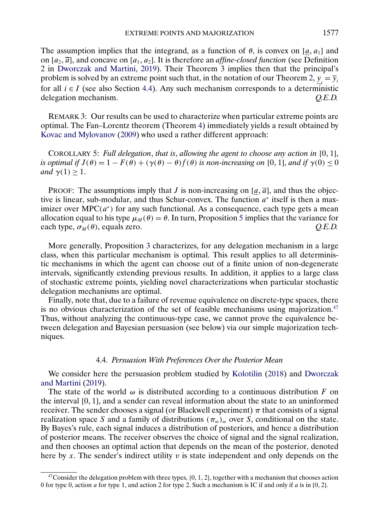<span id="page-20-0"></span>The assumption implies that the integrand, as a function of  $\theta$ , is convex on [a, a<sub>1</sub>] and on  $[a_2, \overline{a}]$ , and concave on  $[a_1, a_2]$ . It is therefore an *affine-closed function* (see Definition 2 in [Dworczak and Martini,](#page-35-0) [2019\)](#page-35-0). Their Theorem 3 implies then that the principal's problem is solved by an extreme point such that, in the notation of our Theorem [2,](#page-5-0)  $\underline{y}_i = \overline{y}_i$ for all  $i \in I$  (see also Section 4.4). Any such mechanism corresponds to a deterministic delegation mechanism. *Q.E.D.*

REMARK 3: Our results can be used to characterize when particular extreme points are optimal. The Fan–Lorentz theorem (Theorem [4\)](#page-10-0) immediately yields a result obtained by [Kovac and Mylovanov](#page-36-0) [\(2009\)](#page-36-0) who used a rather different approach:

COROLLARY 5: Full delegation, that is, allowing the agent to choose any action in [0, 1], *is optimal if*  $J(\theta) = 1 - F(\theta) + (\gamma(\theta) - \theta) f(\theta)$  *is non-increasing on* [0, 1], *and if*  $\gamma(0) \le 0$ *and*  $\gamma(1) \geq 1$ .

PROOF: The assumptions imply that *J* is non-increasing on  $[\underline{a}, \overline{a}]$ , and thus the objective is linear, sub-modular, and thus Schur-convex. The function  $a^*$  itself is then a maximizer over MPC( $a^*$ ) for any such functional. As a consequence, each type gets a mean allocation equal to his type  $\mu_M(\theta) = \theta$ . In turn, Proposition [5](#page-16-0) implies that the variance for each type,  $\sigma_M(\theta)$ , equals zero.  $Q.E.D.$ 

More generally, Proposition [3](#page-12-0) characterizes, for any delegation mechanism in a large class, when this particular mechanism is optimal. This result applies to all deterministic mechanisms in which the agent can choose out of a finite union of non-degenerate intervals, significantly extending previous results. In addition, it applies to a large class of stochastic extreme points, yielding novel characterizations when particular stochastic delegation mechanisms are optimal.

Finally, note that, due to a failure of revenue equivalence on discrete-type spaces, there is no obvious characterization of the set of feasible mechanisms using majorization. $47$ Thus, without analyzing the continuous-type case, we cannot prove the equivalence between delegation and Bayesian persuasion (see below) via our simple majorization techniques.

# 4.4. *Persuasion With Preferences Over the Posterior Mean*

We consider here the persuasion problem studied by [Kolotilin](#page-35-0) [\(2018\)](#page-35-0) and [Dworczak](#page-35-0) [and Martini](#page-35-0) [\(2019\)](#page-35-0).

The state of the world  $\omega$  is distributed according to a continuous distribution F on the interval [0, 1], and a sender can reveal information about the state to an uninformed receiver. The sender chooses a signal (or Blackwell experiment)  $\pi$  that consists of a signal realization space S and a family of distributions  $(\pi_{\omega})_{\omega}$  over S, conditional on the state. By Bayes's rule, each signal induces a distribution of posteriors, and hence a distribution of posterior means. The receiver observes the choice of signal and the signal realization, and then chooses an optimal action that depends on the mean of the posterior, denoted here by x. The sender's indirect utility  $v$  is state independent and only depends on the

 $47$ Consider the delegation problem with three types,  $\{0, 1, 2\}$ , together with a mechanism that chooses action 0 for type 0, action a for type 1, and action 2 for type 2. Such a mechanism is IC if and only if  $a$  is in [0, 2].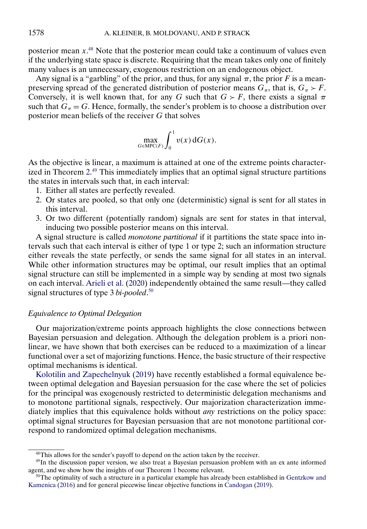<span id="page-21-0"></span>posterior mean  $x$ <sup>48</sup>. Note that the posterior mean could take a continuum of values even if the underlying state space is discrete. Requiring that the mean takes only one of finitely many values is an unnecessary, exogenous restriction on an endogenous object.

Any signal is a "garbling" of the prior, and thus, for any signal  $\pi$ , the prior F is a meanpreserving spread of the generated distribution of posterior means  $G_{\pi}$ , that is,  $G_{\pi} > F$ . Conversely, it is well known that, for any G such that  $G > F$ , there exists a signal  $\pi$ such that  $G_\pi = G$ . Hence, formally, the sender's problem is to choose a distribution over posterior mean beliefs of the receiver G that solves

$$
\max_{G \in \text{MPC}(F)} \int_0^1 v(x) \,dG(x).
$$

As the objective is linear, a maximum is attained at one of the extreme points characterized in Theorem [2.](#page-5-0) <sup>49</sup> This immediately implies that an optimal signal structure partitions the states in intervals such that, in each interval:

- 1. Either all states are perfectly revealed.
- 2. Or states are pooled, so that only one (deterministic) signal is sent for all states in this interval.
- 3. Or two different (potentially random) signals are sent for states in that interval, inducing two possible posterior means on this interval.

A signal structure is called *monotone partitional* if it partitions the state space into intervals such that each interval is either of type 1 or type 2; such an information structure either reveals the state perfectly, or sends the same signal for all states in an interval. While other information structures may be optimal, our result implies that an optimal signal structure can still be implemented in a simple way by sending at most two signals on each interval. [Arieli et al.](#page-35-0) [\(2020\)](#page-35-0) independently obtained the same result—they called signal structures of type 3 *bi-pooled*. 50

## *Equivalence to Optimal Delegation*

Our majorization/extreme points approach highlights the close connections between Bayesian persuasion and delegation. Although the delegation problem is a priori nonlinear, we have shown that both exercises can be reduced to a maximization of a linear functional over a set of majorizing functions. Hence, the basic structure of their respective optimal mechanisms is identical.

[Kolotilin and Zapechelnyuk](#page-36-0) [\(2019\)](#page-36-0) have recently established a formal equivalence between optimal delegation and Bayesian persuasion for the case where the set of policies for the principal was exogenously restricted to deterministic delegation mechanisms and to monotone partitional signals, respectively. Our majorization characterization immediately implies that this equivalence holds without *any* restrictions on the policy space: optimal signal structures for Bayesian persuasion that are not monotone partitional correspond to randomized optimal delegation mechanisms.

<sup>&</sup>lt;sup>48</sup>This allows for the sender's payoff to depend on the action taken by the receiver.

<sup>49</sup>In the discussion paper version, we also treat a Bayesian persuasion problem with an ex ante informed agent, and we show how the insights of our Theorem [1](#page-4-0) become relevant.

 $50$ The optimality of such a structure in a particular example has already been established in [Gentzkow and](#page-35-0) [Kamenica](#page-35-0) [\(2016\)](#page-35-0) and for general piecewise linear objective functions in [Candogan](#page-35-0) [\(2019\)](#page-35-0).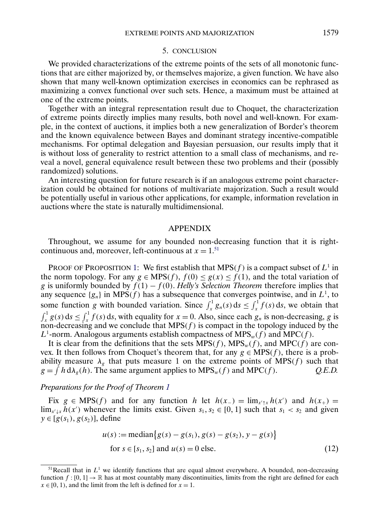### 5. CONCLUSION

<span id="page-22-0"></span>We provided characterizations of the extreme points of the sets of all monotonic functions that are either majorized by, or themselves majorize, a given function. We have also shown that many well-known optimization exercises in economics can be rephrased as maximizing a convex functional over such sets. Hence, a maximum must be attained at one of the extreme points.

Together with an integral representation result due to Choquet, the characterization of extreme points directly implies many results, both novel and well-known. For example, in the context of auctions, it implies both a new generalization of Border's theorem and the known equivalence between Bayes and dominant strategy incentive-compatible mechanisms. For optimal delegation and Bayesian persuasion, our results imply that it is without loss of generality to restrict attention to a small class of mechanisms, and reveal a novel, general equivalence result between these two problems and their (possibly randomized) solutions.

An interesting question for future research is if an analogous extreme point characterization could be obtained for notions of multivariate majorization. Such a result would be potentially useful in various other applications, for example, information revelation in auctions where the state is naturally multidimensional.

## APPENDIX

Throughout, we assume for any bounded non-decreasing function that it is rightcontinuous and, moreover, left-continuous at  $x = 1$ .<sup>51</sup>

PROOF OF PROPOSITION [1:](#page-4-0) We first establish that MPS(f) is a compact subset of  $L^1$  in the norm topology. For any  $g \in MPS(f), f(0) \leq g(x) \leq f(1)$ , and the total variation of g is uniformly bounded by  $\tilde{f}(1) - f(0)$ . *Helly's Selection Theorem* therefore implies that any sequence  $\{g_n\}$  in MPS(f) has a subsequence that converges pointwise, and in  $L^1$ , to some function g with bounded variation. Since  $\int_x^1 g_n(s) ds \le \int_x^1 f(s) ds$ , we obtain that  $\int_x^1 g(s) ds \le \int_x^1 f(s) ds$ , with equality for  $x = 0$ . Also, since each  $g_n$  is non-decreasing, g is non-decreasing and we conclude that  $MPS(f)$  is compact in the topology induced by the  $L^1$ -norm. Analogous arguments establish compactness of MPS<sub>w</sub>(f) and MPC(f).

It is clear from the definitions that the sets  $MPS(f)$ ,  $MPS_w(f)$ , and  $MPC(f)$  are convex. It then follows from Choquet's theorem that, for any  $g \in MPS(f))$ , there is a probability measure  $\lambda_g$  that puts measure 1 on the extreme points of MPS(f) such that  $g = \int h d\lambda_g(h)$ . The same argument applies to MPS<sub>w</sub>(f) and MPC(f).  $Q.E.D.$ 

## *Preparations for the Proof of Theorem [1](#page-4-0)*

Fix  $g \in MPS(f)$  and for any function h let  $h(x_{-}) = \lim_{x' \uparrow x} h(x')$  and  $h(x_{+}) =$  $\lim_{x' \downarrow x} h(x')$  whenever the limits exist. Given  $s_1, s_2 \in [0, 1]$  such that  $s_1 < s_2$  and given  $y \in [g(s_1), g(s_2)]$ , define

$$
u(s) := \text{median}\{g(s) - g(s_1), g(s) - g(s_2), y - g(s)\}
$$
  
for  $s \in [s_1, s_2]$  and  $u(s) = 0$  else. (12)

<sup>&</sup>lt;sup>51</sup>Recall that in  $L<sup>1</sup>$  we identify functions that are equal almost everywhere. A bounded, non-decreasing function  $f : [0, 1] \to \mathbb{R}$  has at most countably many discontinuities, limits from the right are defined for each  $x \in [0, 1)$ , and the limit from the left is defined for  $x = 1$ .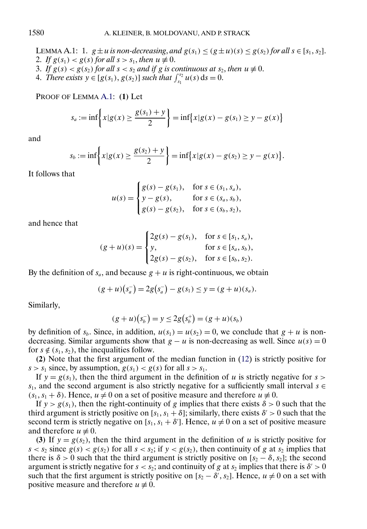<span id="page-23-0"></span>LEMMA A.1: 1.  $g \pm u$  *is non-decreasing, and*  $g(s_1) \le (g \pm u)(s) \le g(s_2)$  *for all*  $s \in [s_1, s_2]$ *.* 2. *If*  $g(s_1) < g(s)$  *for all*  $s > s_1$ *, then*  $u \neq 0$ *.* 

- 3. If  $g(s) < g(s_2)$  for all  $s < s_2$  and if g is continuous at  $s_2$ , then  $u \neq 0$ .
- 4. *There exists*  $y \in [g(s_1), g(s_2)]$  *such that*  $\int_{s_1}^{s_2} u(s) ds = 0$ .

PROOF OF LEMMA A.1: **(1)** Let

$$
s_a := \inf \left\{ x | g(x) \ge \frac{g(s_1) + y}{2} \right\} = \inf \{ x | g(x) - g(s_1) \ge y - g(x) \}
$$

and

$$
s_b := \inf \left\{ x | g(x) \ge \frac{g(s_2) + y}{2} \right\} = \inf \{ x | g(x) - g(s_2) \ge y - g(x) \}.
$$

It follows that

$$
u(s) = \begin{cases} g(s) - g(s_1), & \text{for } s \in (s_1, s_a), \\ y - g(s), & \text{for } s \in (s_a, s_b), \\ g(s) - g(s_2), & \text{for } s \in (s_b, s_2), \end{cases}
$$

and hence that

$$
(g+u)(s) = \begin{cases} 2g(s) - g(s_1), & \text{for } s \in [s_1, s_a), \\ y, & \text{for } s \in [s_a, s_b), \\ 2g(s) - g(s_2), & \text{for } s \in [s_b, s_2). \end{cases}
$$

By the definition of  $s_a$ , and because  $g + u$  is right-continuous, we obtain

$$
(g+u)(s_a^-) = 2g(s_a^-) - g(s_1) \le y = (g+u)(s_a).
$$

Similarly,

$$
(g+u)(s_b^-) = y \le 2g(s_b^+) = (g+u)(s_b)
$$

by definition of  $s_b$ . Since, in addition,  $u(s_1) = u(s_2) = 0$ , we conclude that  $g + u$  is nondecreasing. Similar arguments show that  $g - u$  is non-decreasing as well. Since  $u(s) = 0$ for  $s \notin (s_1, s_2)$ , the inequalities follow.

**(2)** Note that the first argument of the median function in [\(12\)](#page-22-0) is strictly positive for  $s > s_1$  since, by assumption,  $g(s_1) < g(s)$  for all  $s > s_1$ .

If  $y = g(s_1)$ , then the third argument in the definition of u is strictly negative for s > s<sub>1</sub>, and the second argument is also strictly negative for a sufficiently small interval  $s \in$  $(s_1, s_1 + \delta)$ . Hence,  $u \neq 0$  on a set of positive measure and therefore  $u \neq 0$ .

If  $y > g(s_1)$ , then the right-continuity of g implies that there exists  $\delta > 0$  such that the third argument is strictly positive on  $[s_1, s_1 + \delta]$ ; similarly, there exists  $\delta' > 0$  such that the second term is strictly negative on [ $s_1, s_1 + \delta'$ ]. Hence,  $u \neq 0$  on a set of positive measure and therefore  $u \neq 0$ .

(3) If  $y = g(s_2)$ , then the third argument in the definition of u is strictly positive for  $s < s_2$  since  $g(s) < g(s_2)$  for all  $s < s_2$ ; if  $y < g(s_2)$ , then continuity of g at  $s_2$  implies that there is  $\delta > 0$  such that the third argument is strictly positive on [ $s_2 - \delta, s_2$ ]; the second argument is strictly negative for  $s < s_2$ ; and continuity of g at  $s_2$  implies that there is  $\delta' > 0$ such that the first argument is strictly positive on  $[s_2 - \delta', s_2]$ . Hence,  $u \neq 0$  on a set with positive measure and therefore  $u \neq 0$ .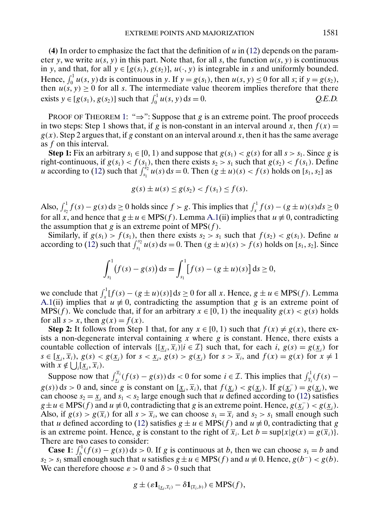**(4)** In order to emphasize the fact that the definition of u in [\(12\)](#page-22-0) depends on the parameter y, we write  $u(s, y)$  in this part. Note that, for all s, the function  $u(s, y)$  is continuous in y, and that, for all  $y \in [g(s_1), g(s_2)]$ ,  $u(\cdot, y)$  is integrable in s and uniformly bounded. Hence,  $\int_0^1 u(s, y) ds$  is continuous in y. If  $y = g(s_1)$ , then  $u(s, y) \le 0$  for all s; if  $y = g(s_2)$ , then  $u(s, y) \ge 0$  for all s. The intermediate value theorem implies therefore that there exists  $y \in [g(s_1), g(s_2)]$  such that  $\int_0^1 u(s, y) ds = 0$ . *Q.E.D.* 

PROOF OF THEOREM [1:](#page-4-0) " $\Rightarrow$ ": Suppose that g is an extreme point. The proof proceeds in two steps: Step 1 shows that, if g is non-constant in an interval around x, then  $f(x) =$  $g(x)$ . Step 2 argues that, if g constant on an interval around x, then it has the same average as f on this interval.

**Step 1:** Fix an arbitrary  $s_1 \in [0, 1)$  and suppose that  $g(s_1) < g(s)$  for all  $s > s_1$ . Since g is right-continuous, if  $g(s_1) < f(s_1)$ , then there exists  $s_2 > s_1$  such that  $g(s_2) < f(s_1)$ . Define u according to [\(12\)](#page-22-0) such that  $\int_{s_1}^{s_2} u(s) ds = 0$ . Then  $(g \pm u)(s) < f(s)$  holds on  $[s_1, s_2]$  as

$$
g(s) \pm u(s) \le g(s_2) < f(s_1) \le f(s).
$$

Also,  $\int_{s_2}^1 f(s) - g(s) ds \ge 0$  holds since  $f > g$ . This implies that  $\int_x^1 f(s) - (g \pm u)(s) ds \ge 0$ for all x, and hence that  $g \pm u \in MPS(f))$ . Lemma [A.1\(](#page-23-0)ii) implies that  $u \neq 0$ , contradicting the assumption that g is an extreme point of MPS $(f)$ .

Similarly, if  $g(s_1) > f(s_1)$ , then there exists  $s_2 > s_1$  such that  $f(s_2) < g(s_1)$ . Define u according to [\(12\)](#page-22-0) such that  $\int_{s_1}^{s_2} u(s) ds = 0$ . Then  $(g \pm u)(s) > f(s)$  holds on  $[s_1, s_2]$ . Since

$$
\int_{s_1}^1 (f(s) - g(s)) ds = \int_{s_1}^1 [f(s) - (g \pm u)(s)] ds \ge 0,
$$

we conclude that  $\int_x^1 [f(s) - (g \pm u)(s)] ds \ge 0$  for all x. Hence,  $g \pm u \in MPS(f))$ . Lemma [A.1\(](#page-23-0)ii) implies that  $u \neq 0$ , contradicting the assumption that g is an extreme point of MPS(f). We conclude that, if for an arbitrary  $x \in [0, 1)$  the inequality  $g(x) < g(s)$  holds for all  $s > x$ , then  $g(x) = f(x)$ .

**Step 2:** It follows from Step 1 that, for any  $x \in [0, 1)$  such that  $f(x) \neq g(x)$ , there exists a non-degenerate interval containing x where  $g$  is constant. Hence, there exists a countable collection of intervals  $\{[\underline{x}_i, \overline{x}_i] | i \in \mathcal{I}\}\$  such that, for each  $i, g(s) = g(\underline{x}_i)$  for  $s \in [\underline{x}_i, \overline{x}_i), g(s) < g(\underline{x}_i)$  for  $s < \underline{x}_i, g(s) > g(\underline{x}_i)$  for  $s > \overline{x}_i$ , and  $f(x) = g(x)$  for  $x \neq 1$ with  $x \notin \bigcup_i [\underline{x}_i, \overline{x}_i].$ 

Suppose now that  $\int_{x_i}^{\overline{x}_i} (f(s) - g(s)) ds < 0$  for some  $i \in \mathcal{I}$ . This implies that  $\int_{\overline{x}_i}^1 (f(s) - g(s)) ds$  $g(s)$  ds > 0 and, since g is constant on  $[\underline{x}_i, \overline{x}_i)$ , that  $f(\underline{x}_i) < g(\underline{x}_i)$ . If  $g(\underline{x}_i^-) = g(\underline{x}_i)$ , we can choose  $s_2 = \underline{x}_i$  and  $s_1 < s_2$  large enough such that u defined according to [\(12\)](#page-22-0) satisfies  $g \pm u \in \text{MPS}(f)$  and  $u \neq 0$ , contradicting that g is an extreme point. Hence,  $g(\underline{x_i}) < g(\underline{x_i})$ . Also, if  $g(s) > g(\overline{x}_i)$  for all  $s > \overline{x}_i$ , we can choose  $s_1 = \overline{x}_i$  and  $s_2 > s_1$  small enough such that u defined according to [\(12\)](#page-22-0) satisfies  $g \pm u \in MPS(f)$  and  $u \neq 0$ , contradicting that g is an extreme point. Hence, g is constant to the right of  $\overline{x}_i$ . Let  $b = \sup\{x | g(x) = g(\overline{x}_i)\}\$ . There are two cases to consider:

**Case 1**:  $\int_b^1 (f(s) - g(s)) ds > 0$ . If g is continuous at b, then we can choose  $s_1 = b$  and  $s_2 > s_1$  small enough such that u satisfies  $g \pm u \in MPS(f)$  and  $u \neq 0$ . Hence,  $g(b^-) < g(b)$ . We can therefore choose  $\varepsilon > 0$  and  $\delta > 0$  such that

$$
g \pm (\varepsilon \mathbf{1}_{[\underline{x}_i, \overline{x}_i)} - \delta \mathbf{1}_{[\overline{x}_i, b)} ) \in \text{MPS}(f),
$$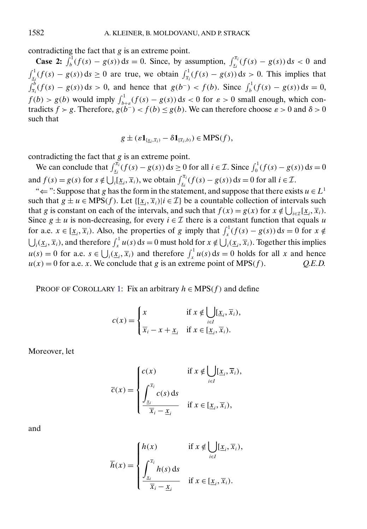contradicting the fact that  $g$  is an extreme point.

**Case 2:**  $\int_b^1 (f(s) - g(s)) ds = 0$ . Since, by assumption,  $\int_{x_i}^{\bar{x}_i} (f(s) - g(s)) ds < 0$  and  $\int_{x_i}^1 (f(s) - g(s)) ds \ge 0$  are true, we obtain  $\int_{\overline{x_i}}^1 (f(s) - g(s)) ds > 0$ . This implies that  $\int_{\overline{x}_i}^{b} (f(s) - g(s)) ds > 0$ , and hence that  $g(b^-) < f(b)$ . Since  $\int_{b}^{1} (f(s) - g(s)) ds = 0$ ,  $f(b) > g(b)$  would imply  $\int_{b+\varepsilon}^{1} (f(s) - g(s)) ds < 0$  for  $\varepsilon > 0$  small enough, which contradicts  $f > g$ . Therefore,  $g(b^-) < f(b) \le g(b)$ . We can therefore choose  $\varepsilon > 0$  and  $\delta > 0$ such that

$$
g \pm (\varepsilon \mathbf{1}_{[\underline{x}_i, \overline{x}_i)} - \delta \mathbf{1}_{[\overline{x}_i, b)} ) \in \text{MPS}(f),
$$

contradicting the fact that  $g$  is an extreme point.

We can conclude that  $\int_{x_i}^{\overline{x}_i} (f(s) - g(s)) ds \ge 0$  for all  $i \in \mathcal{I}$ . Since  $\int_0^1 (f(s) - g(s)) ds = 0$ and  $f(s) = g(s)$  for  $s \notin \bigcup_i [\underline{x}_i, \overline{x}_i]$ , we obtain  $\int_{\underline{x}_i}^{\overline{x}_i} (f(s) - g(s)) ds = 0$  for all  $i \in \mathcal{I}$ .

" $\Leftarrow$ ": Suppose that g has the form in the statement, and suppose that there exists  $u \in L^1$ such that  $g \pm u \in MPS(f))$ . Let  $\{[\underline{x}_i, \overline{x}_i\}]$  be a countable collection of intervals such that g is constant on each of the intervals, and such that  $f(x) = g(x)$  for  $x \notin \bigcup_{i \in \mathcal{I}} [\underline{x}_i, \overline{x}_i)$ . Since  $g \pm u$  is non-decreasing, for every  $i \in \mathcal{I}$  there is a constant function that equals u for a.e.  $x \in [\underline{x}_i, \overline{x}_i)$ . Also, the properties of g imply that  $\int_x^1 (f(s) - g(s)) ds = 0$  for  $x \notin$  $\bigcup_i (\underline{x}_i, \overline{x}_i)$ , and therefore  $\int_x^1 u(s) ds = 0$  must hold for  $x \notin \bigcup_i (\underline{x}_i, \overline{x}_i)$ . Together this implies  $u(s) = 0$  for a.e.  $s \in \bigcup_i (\underline{x}_i, \overline{x}_i)$  and therefore  $\int_x^1 u(s) ds = 0$  holds for all x and hence  $u(x) = 0$  for a.e. x. We conclude that g is an extreme point of MPS(f).  $Q.E.D.$ 

PROOF OF COROLLARY [1:](#page-4-0) Fix an arbitrary  $h \in MPS(f)$  and define

$$
c(x) = \begin{cases} x & \text{if } x \notin \bigcup_{i \in I} [\underline{x}_i, \overline{x}_i), \\ \overline{x}_i - x + \underline{x}_i & \text{if } x \in [\underline{x}_i, \overline{x}_i). \end{cases}
$$

Moreover, let

$$
\overline{c}(x) = \begin{cases} c(x) & \text{if } x \notin \bigcup_{i \in I} [\underline{x}_i, \overline{x}_i), \\ \int_{\underline{x}_i}^{\overline{x}_i} c(s) \, \text{d}s \\ \frac{\int_{\underline{x}_i}^{\overline{x}_i} - \underline{x}_i}{\overline{x}_i - \underline{x}_i} & \text{if } x \in [\underline{x}_i, \overline{x}_i), \end{cases}
$$

and

$$
\overline{h}(x) = \begin{cases} h(x) & \text{if } x \notin \bigcup_{i \in I} [\underline{x}_i, \overline{x}_i), \\ \int_{\underline{x}_i}^{\overline{x}_i} h(s) \, ds & \text{if } x \in [\underline{x}_i, \overline{x}_i). \end{cases}
$$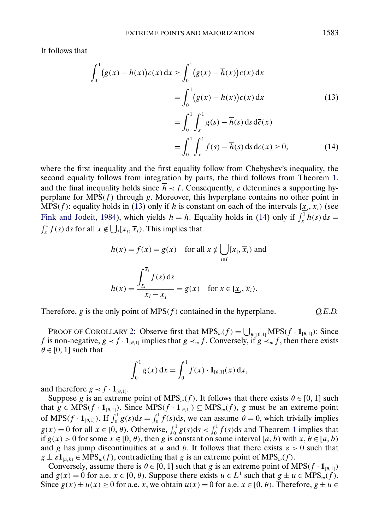<span id="page-26-0"></span>It follows that

$$
\int_{0}^{1} (g(x) - h(x))c(x) dx \ge \int_{0}^{1} (g(x) - \overline{h}(x))c(x) dx
$$
  
\n
$$
= \int_{0}^{1} (g(x) - \overline{h}(x))\overline{c}(x) dx
$$
(13)  
\n
$$
= \int_{0}^{1} \int_{x}^{1} g(s) - \overline{h}(s) ds d\overline{c}(x)
$$
  
\n
$$
= \int_{0}^{1} \int_{x}^{1} f(s) - \overline{h}(s) ds d\overline{c}(x) \ge 0,
$$
(14)

where the first inequality and the first equality follow from Chebyshev's inequality, the second equality follows from integration by parts, the third follows from Theorem [1,](#page-4-0) and the final inequality holds since  $\overline{h}$   $\lt f$ . Consequently, c determines a supporting hyperplane for  $MPS(f)$  through g. Moreover, this hyperplane contains no other point in MPS(f): equality holds in (13) only if h is constant on each of the intervals  $[\underline{x}_i, \overline{x}_i)$  (see [Fink and Jodeit,](#page-35-0) [1984\)](#page-35-0), which yields  $h = \overline{h}$ . Equality holds in (14) only if  $\int_x^1 \overline{h}(s) ds = \int_1^1 f(s) ds$  for all  $x \notin 1 | [x_1, \overline{x}_1]$ . This implies that  $\int_{x}^{1} f(s) ds$  for all  $x \notin \bigcup_{i} [\underline{x}_{i}, \overline{x}_{i}).$  This implies that

$$
\overline{h}(x) = f(x) = g(x) \quad \text{for all } x \notin \bigcup_{i \in I} [\underline{x}_i, \overline{x}_i) \text{ and}
$$
\n
$$
\overline{h}(x) = \frac{\int_{\underline{x}_i}^{\overline{x}_i} f(s) \, ds}{\overline{x}_i - \underline{x}_i} = g(x) \quad \text{for } x \in [\underline{x}_i, \overline{x}_i).
$$

Therefore,  $g$  is the only point of  $MPS(f)$  contained in the hyperplane.  $Q.E.D.$ 

PROOF OF COROLLARY [2:](#page-5-0) Observe first that  $MPS_w(f) = \bigcup_{\theta \in [0,1]} MPS(f \cdot \mathbf{1}_{[\theta,1]})$ : Since f is non-negative,  $g \lt f \cdot \mathbf{1}_{[\theta,1]}$  implies that  $g \lt_w f$ . Conversely, if  $g \lt_w f$ , then there exists  $\theta \in [0, 1]$  such that

$$
\int_0^1 g(x) \, \mathrm{d}x = \int_0^1 f(x) \cdot \mathbf{1}_{[\theta,1]}(x) \, \mathrm{d}x,
$$

and therefore  $g \lt f \cdot \mathbf{1}_{[\theta,1]}$ .

Suppose g is an extreme point of  $MPS_w(f)$ . It follows that there exists  $\theta \in [0, 1]$  such that  $g \in \text{MPS}(f \cdot \mathbf{1}_{[\theta,1]})$ . Since  $\text{MPS}(f \cdot \mathbf{1}_{[\theta,1]}) \subseteq \text{MPS}_w(f)$ , g must be an extreme point of MPS( $f \cdot \mathbf{1}_{[\theta,1]}$ ). If  $\int_0^1 g(s)ds = \int_0^1 f(s)ds$ , we can assume  $\theta = 0$ , which trivially implies  $g(x) = 0$  for all  $x \in [0, \theta)$ . Otherwise,  $\int_0^1 g(s) ds < \int_0^1 f(s) ds$  $\int_0^1 g(s) ds < \int_0^1 f(s) ds$  $\int_0^1 g(s) ds < \int_0^1 f(s) ds$  and Theorem 1 implies that if  $g(x) > 0$  for some  $x \in [0, \theta)$ , then g is constant on some interval [a, b) with  $x, \theta \in [a, b)$ and g has jump discontinuities at a and b. It follows that there exists  $\varepsilon > 0$  such that  $g \pm \varepsilon \mathbf{1}_{[a,b)} \in \text{MPS}_w(f)$ , contradicting that g is an extreme point of  $\text{MPS}_w(f)$ .

Conversely, assume there is  $\theta \in [0, 1]$  such that g is an extreme point of MPS( $f \cdot \mathbf{1}_{[\theta,1]}$ ) and  $g(x) = 0$  for a.e.  $x \in [0, \theta)$ . Suppose there exists  $u \in L^1$  such that  $g \pm u \in MPS_w(f)$ . Since  $g(x) \pm u(x) \ge 0$  for a.e. x, we obtain  $u(x) = 0$  for a.e.  $x \in [0, \theta)$ . Therefore,  $g \pm u \in$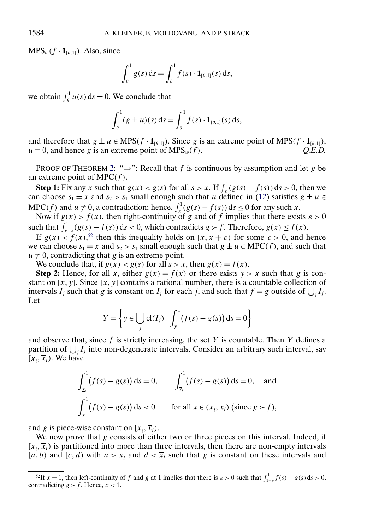$MPS_w(f \cdot 1_{[\theta,1]})$ . Also, since

$$
\int_{\theta}^1 g(s) \, \mathrm{d} s = \int_{\theta}^1 f(s) \cdot \mathbf{1}_{[\theta,1]}(s) \, \mathrm{d} s,
$$

we obtain  $\int_{\theta}^{1} u(s) ds = 0$ . We conclude that

$$
\int_{\theta}^{1} (g \pm u)(s) \, ds = \int_{\theta}^{1} f(s) \cdot \mathbf{1}_{[\theta,1]}(s) \, ds,
$$

and therefore that  $g \pm u \in MPS(f \cdot 1_{[\theta,1]})$ . Since g is an extreme point of MPS( $f \cdot 1_{[\theta,1]}$ ),  $u \equiv 0$ , and hence g is an extreme point of MPS<sub>w</sub>(f).  $Q.E.D.$ 

PROOF OF THEOREM [2:](#page-5-0) " $\Rightarrow$ ": Recall that f is continuous by assumption and let g be an extreme point of MPC $(f)$ .

**Step 1:** Fix any x such that  $g(x) < g(s)$  for all  $s > x$ . If  $\int_x^1 (g(s) - f(s)) ds > 0$ , then we can choose  $s_1 = x$  and  $s_2 > s_1$  small enough such that u defined in [\(12\)](#page-22-0) satisfies  $g \pm u \in$ MPC(f) and  $u \neq 0$ , a contradiction; hence,  $\int_x^1 (g(s) - f(s)) ds \leq 0$  for any such x.

Now if  $g(x) > f(x)$ , then right-continuity of g and of f implies that there exists  $\varepsilon > 0$ such that  $\int_{x+\varepsilon}^{1}(g(s)-f(s))ds < 0$ , which contradicts  $g > f$ . Therefore,  $g(x) \le f(x)$ .

If  $g(x) < f(x)$ ,<sup>52</sup> then this inequality holds on [x, x +  $\varepsilon$ ) for some  $\varepsilon > 0$ , and hence we can choose  $s_1 = x$  and  $s_2 > s_1$  small enough such that  $g \pm u \in \text{MPC}(f)$ , and such that  $u \neq 0$ , contradicting that g is an extreme point.

We conclude that, if  $g(x) < g(s)$  for all  $s > x$ , then  $g(x) = f(x)$ .

**Step 2:** Hence, for all x, either  $g(x) = f(x)$  or there exists  $y > x$  such that g is constant on  $[x, y]$ . Since  $[x, y]$  contains a rational number, there is a countable collection of intervals  $I_j$  such that g is constant on  $I_j$  for each j, and such that  $f = g$  outside of  $\bigcup_j I_j$ . Let

$$
Y = \left\{ y \in \bigcup_j \text{cl}(I_j) \middle| \int_y^1 (f(s) - g(s)) \, \text{d}s = 0 \right\}
$$

and observe that, since  $f$  is strictly increasing, the set Y is countable. Then Y defines a partition of  $\bigcup_j I_j$  into non-degenerate intervals. Consider an arbitrary such interval, say  $[\underline{x}_i, \overline{x}_i)$ . We have

$$
\int_{\underline{x}_i}^1 (f(s) - g(s)) ds = 0, \qquad \int_{\overline{x}_i}^1 (f(s) - g(s)) ds = 0, \quad \text{and}
$$

$$
\int_x^1 (f(s) - g(s)) ds < 0 \qquad \text{for all } x \in (\underline{x}_i, \overline{x}_i) \text{ (since } g > f),
$$

and g is piece-wise constant on  $[\underline{x}_i, \overline{x}_i)$ .

We now prove that  $g$  consists of either two or three pieces on this interval. Indeed, if  $[\underline{x}_i, \overline{x}_i]$  is partitioned into more than three intervals, then there are non-empty intervals [a, b) and [c, d) with  $a > x_i$  and  $d < \overline{x}_i$  such that g is constant on these intervals and

<sup>&</sup>lt;sup>52</sup>If  $x = 1$ , then left-continuity of f and g at 1 implies that there is  $\varepsilon > 0$  such that  $\int_{1-\varepsilon}^{1} f(s) - g(s) ds > 0$ , contradicting  $g > f$ . Hence,  $x < 1$ .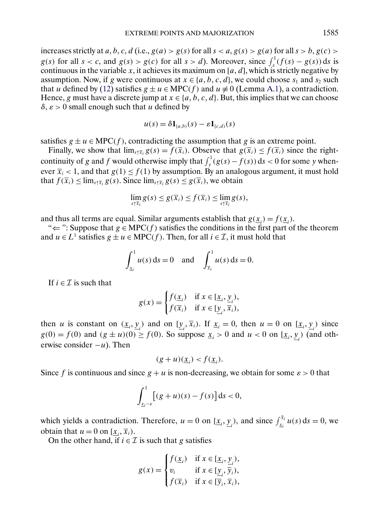increases strictly at a, b, c, d (i.e.,  $g(a) > g(s)$  for all  $s < a$ ,  $g(s) > g(a)$  for all  $s > b$ ,  $g(c) >$  $g(s)$  for all  $s < c$ , and  $g(s) > g(c)$  for all  $s > d$ ). Moreover, since  $\int_x^1 (f(s) - g(s)) ds$  is continuous in the variable x, it achieves its maximum on [ $a, d$ ], which is strictly negative by assumption. Now, if g were continuous at  $x \in \{a, b, c, d\}$ , we could choose  $s_1$  and  $s_2$  such that u defined by [\(12\)](#page-22-0) satisfies  $g \pm u \in \text{MPC}(f)$  and  $u \neq 0$  (Lemma [A.1\)](#page-23-0), a contradiction. Hence, g must have a discrete jump at  $x \in \{a, b, c, d\}$ . But, this implies that we can choose  $\delta, \varepsilon > 0$  small enough such that u defined by

$$
u(s) = \delta \mathbf{1}_{[a,b)}(s) - \varepsilon \mathbf{1}_{[c,d)}(s)
$$

satisfies  $g \pm u \in \text{MPC}(f)$ , contradicting the assumption that g is an extreme point.

Finally, we show that  $\lim_{s \uparrow \bar{x}_i} g(s) = f(\bar{x}_i)$ . Observe that  $g(\bar{x}_i) \leq f(\bar{x}_i)$  since the rightcontinuity of g and f would otherwise imply that  $\int_y^1 (g(s) - f(s)) ds < 0$  for some y whenever  $\overline{x}_i$  < 1, and that  $g(1) \le f(1)$  by assumption. By an analogous argument, it must hold that  $f(\overline{x}_i) \le \lim_{s \uparrow \overline{x}_i} g(s)$ . Since  $\lim_{s \uparrow \overline{x}_i} g(s) \le g(\overline{x}_i)$ , we obtain

$$
\lim_{s\uparrow \overline{x}_i} g(s) \leq g(\overline{x}_i) \leq f(\overline{x}_i) \leq \lim_{s\uparrow \overline{x}_i} g(s),
$$

and thus all terms are equal. Similar arguments establish that  $g(\underline{x}_i) = f(\underline{x}_i)$ .

" $\Leftarrow$ ": Suppose that  $g \in \text{MPC}(f)$  satisfies the conditions in the first part of the theorem and  $u \in L^1$  satisfies  $g \perp u \in \text{MPC}(f)$ . Then, for all  $i \in \mathcal{I}$ , it must hold that

$$
\int_{x_i}^1 u(s) \, ds = 0 \text{ and } \int_{\bar{x}_i}^1 u(s) \, ds = 0.
$$

If  $i \in \mathcal{I}$  is such that

$$
g(x) = \begin{cases} f(\underline{x}_i) & \text{if } x \in [\underline{x}_i, \underline{y}_i), \\ f(\overline{x}_i) & \text{if } x \in [\underline{y}_i, \overline{x}_i), \end{cases}
$$

then *u* is constant on  $(\underline{x}_i, \underline{y}_i)$  and on  $[\underline{y}_i, \overline{x}_i)$ . If  $\underline{x}_i = 0$ , then  $u = 0$  on  $[\underline{x}_i, \underline{y}_i)$  since  $g(0) = f(0)$  and  $(g \pm u)(0) \ge f(0)$ . So suppose  $\underline{x}_i > 0$  and  $u < 0$  on  $[\underline{x}_i, \underline{y}_i]$  (and otherwise consider  $-u$ ). Then

$$
(g+u)(\underline{x}_i) < f(\underline{x}_i).
$$

Since f is continuous and since  $g + u$  is non-decreasing, we obtain for some  $\varepsilon > 0$  that

$$
\int_{\underline{x}_i-\varepsilon}^1 \bigl[ (g+u)(s) - f(s) \bigr] \, \mathrm{d} s < 0,
$$

which yields a contradiction. Therefore,  $u = 0$  on  $[\underline{x}_i, \underline{y}_i)$ , and since  $\int_{\underline{x}_i}^{\overline{x}_i} u(s) ds = 0$ , we obtain that  $u = 0$  on  $[\underline{x}_i, \overline{x}_i)$ .

On the other hand, if  $i \in \mathcal{I}$  is such that g satisfies

$$
g(x) = \begin{cases} f(\underline{x}_i) & \text{if } x \in [\underline{x}_i, \underline{y}_i), \\ v_i & \text{if } x \in [\underline{y}_i, \overline{y}_i), \\ f(\overline{x}_i) & \text{if } x \in [\overline{y}_i, \overline{x}_i), \end{cases}
$$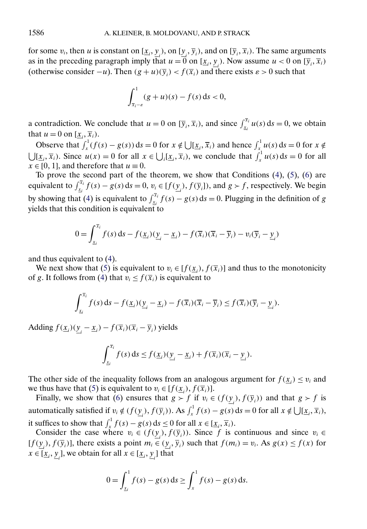for some  $v_i$ , then u is constant on  $[\underline{x}_i, \underline{y}_i)$ , on  $[\underline{y}_i, \overline{y}_i)$ , and on  $[\overline{y}_i, \overline{x}_i)$ . The same arguments as in the preceding paragraph imply that  $u = 0$  on  $[\underline{x}_i, \underline{y}_i)$ . Now assume  $u < 0$  on  $[\overline{y}_i, \overline{x}_i)$ (otherwise consider  $-u$ ). Then  $(g + u)(\overline{y}_i) < f(\overline{x}_i)$  and there exists  $\varepsilon > 0$  such that

$$
\int_{\overline{x}_i - \varepsilon}^1 (g + u)(s) - f(s) \, ds < 0,
$$

a contradiction. We conclude that  $u = 0$  on  $[\overline{y}_i, \overline{x}_i)$ , and since  $\int_{x_i}^{\overline{x}_i} u(s) ds = 0$ , we obtain that  $u = 0$  on  $[\underline{x}_i, \overline{x}_i)$ .

Observe that  $\int_x^1 (f(s) - g(s)) ds = 0$  for  $x \notin \bigcup [\underline{x}_i, \overline{x}_i]$  and hence  $\int_x^1 u(s) ds = 0$  for  $x \notin \bigcup [\underline{x}_i, \overline{x}_i]$  $\bigcup [\underline{x}_i, \overline{x}_i]$ . Since  $u(x) = 0$  for all  $x \in \bigcup_i [\underline{x}_i, \overline{x}_i]$ , we conclude that  $\int_x^1 u(s) ds = 0$  for all  $x \in [0, 1]$ , and therefore that  $u \equiv 0$ .

To prove the second part of the theorem, we show that Conditions  $(4)$ ,  $(5)$ ,  $(6)$  are equivalent to  $\int_{x_i}^{\bar{x}_i} f(s) - g(s) ds = 0$ ,  $v_i \in [f(\underline{y}_i), f(\overline{y}_i])$ , and  $g > f$ , respectively. We begin by showing that [\(4\)](#page-5-0) is equivalent to  $\int_{x_i}^{\bar{x}_i} f(s) - g(s) ds = 0$ . Plugging in the definition of g yields that this condition is equivalent to

$$
0 = \int_{\underline{x}_i}^{\overline{x}_i} f(s) \, ds - f(\underline{x}_i) (\underline{y}_i - \underline{x}_i) - f(\overline{x}_i) (\overline{x}_i - \overline{y}_i) - v_i (\overline{y}_i - \underline{y}_i)
$$

and thus equivalent to [\(4\)](#page-5-0).

We next show that [\(5\)](#page-5-0) is equivalent to  $v_i \in [f(\underline{x}_i), f(\overline{x}_i)]$  and thus to the monotonicity of g. It follows from [\(4\)](#page-5-0) that  $v_i \leq f(\overline{x}_i)$  is equivalent to

$$
\int_{\underline{x}_i}^{\overline{x}_i} f(s) \, ds - f(\underline{x}_i) (\underline{y}_i - \underline{x}_i) - f(\overline{x}_i) (\overline{x}_i - \overline{y}_i) \leq f(\overline{x}_i) (\overline{y}_i - \underline{y}_i).
$$

Adding  $f(\underline{x}_i)(\underline{y}_i - \underline{x}_i) - f(\overline{x}_i)(\overline{x}_i - \overline{y}_i)$  yields

$$
\int_{\underline{x}_i}^{\overline{x}_i} f(s) \, ds \leq f(\underline{x}_i)(\underline{y}_i - \underline{x}_i) + f(\overline{x}_i)(\overline{x}_i - \underline{y}_i).
$$

The other side of the inequality follows from an analogous argument for  $f(\underline{x}_i) \le v_i$  and we thus have that [\(5\)](#page-5-0) is equivalent to  $v_i \in [f(\underline{x}_i), f(\overline{x}_i)]$ .

Finally, we show that [\(6\)](#page-5-0) ensures that  $g > f$  if  $v_i \in (f(\underline{y}_i), f(\overline{y}_i))$  and that  $g > f$  is automatically satisfied if  $v_i \notin (f(\underline{y}_i), f(\overline{y}_i))$ . As  $\int_x^1 f(s) - g(s) ds = 0$  for all  $x \notin \bigcup [\underline{x}_i, \overline{x}_i)$ , it suffices to show that  $\int_x^1 f(s) - g(s) ds \le 0$  for all  $x \in [\underline{x}_i, \overline{x}_i)$ .

Consider the case where  $v_i \in (f(\underline{y}_i), f(\overline{y}_i))$ . Since f is continuous and since  $v_i \in$  $[f(\underline{y}_i), f(\overline{y}_i)]$ , there exists a point  $m_i \in (\underline{y}_i, \overline{y}_i)$  such that  $f(m_i) = v_i$ . As  $g(x) \le f(x)$  for  $x \in [\underline{x}_i, \underline{y}_i]$ , we obtain for all  $x \in [\underline{x}_i, \underline{y}_i]$  that

$$
0 = \int_{x_i}^1 f(s) - g(s) \, ds \ge \int_x^1 f(s) - g(s) \, ds.
$$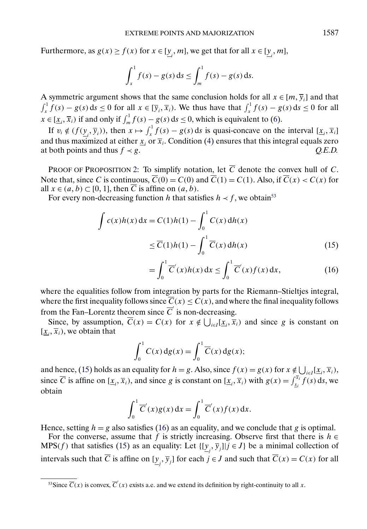<span id="page-30-0"></span>Furthermore, as  $g(x) \ge f(x)$  for  $x \in [\underline{y}_i, m]$ , we get that for all  $x \in [\underline{y}_i, m]$ ,

$$
\int_{x}^{1} f(s) - g(s) \, ds \le \int_{m}^{1} f(s) - g(s) \, ds.
$$

A symmetric argument shows that the same conclusion holds for all  $x \in [m, \overline{y}_i]$  and that  $\int_x^1 f(s) - g(s) ds \le 0$  for all  $x \in [\overline{y}_i, \overline{x}_i)$ . We thus have that  $\int_x^1 f(s) - g(s) ds \le 0$  for all  $x \in [\underline{x}_i, \overline{x}_i)$  if and only if  $\int_m^1 f(s) - g(s) ds \le 0$ , which is equivalent to [\(6\)](#page-5-0).

If  $v_i \notin (f(\underline{y}_i, \overline{y}_i))$ , then  $x \mapsto \int_x^1 f(s) - g(s) ds$  is quasi-concave on the interval  $[\underline{x}_i, \overline{x}_i]$ and thus maximized at either  $\underline{x}_i$  or  $\overline{x}_i$ . Condition [\(4\)](#page-5-0) ensures that this integral equals zero at both points and thus  $f \prec g$ . *Q.E.D.* 

PROOF OF PROPOSITION [2:](#page-11-0) To simplify notation, let  $\overline{C}$  denote the convex hull of C. Note that, since C is continuous,  $\overline{C}(0) = C(0)$  and  $\overline{C}(1) = C(1)$ . Also, if  $\overline{C}(x) < C(x)$  for all  $x \in (a, b) \subset [0, 1]$ , then C is affine on  $(a, b)$ .

For every non-decreasing function h that satisfies  $h \prec f$ , we obtain<sup>53</sup>

$$
\int c(x)h(x) dx = C(1)h(1) - \int_0^1 C(x) dh(x)
$$

$$
\leq \overline{C}(1)h(1) - \int_0^1 \overline{C}(x) dh(x)
$$
(15)

$$
= \int_0^1 \overline{C}'(x)h(x) dx \le \int_0^1 \overline{C}'(x)f(x) dx,
$$
 (16)

where the equalities follow from integration by parts for the Riemann–Stieltjes integral, where the first inequality follows since  $\overline{C}(x) \leq C(x)$ , and where the final inequality follows from the Fan–Lorentz theorem since  $\overline{C}$  is non-decreasing.

Since, by assumption,  $\overline{C}(x) = C(x)$  for  $x \notin \bigcup_{i \in I} [\underline{x}_i, \overline{x}_i]$  and since g is constant on  $[\underline{x}_i, \overline{x}_i)$ , we obtain that

$$
\int_0^1 C(x) \, dg(x) = \int_0^1 \overline{C}(x) \, dg(x);
$$

and hence, (15) holds as an equality for  $h = g$ . Also, since  $f(x) = g(x)$  for  $x \notin \bigcup_{i \in I} [\underline{x}_i, \overline{x}_i)$ , since  $\overline{C}$  is affine on  $[\underline{x}_i, \overline{x}_i)$ , and since g is constant on  $[\underline{x}_i, \overline{x}_i)$  with  $g(x) = \int_{\underline{x}_i}^{\overline{x}_i} f(s) ds$ , we obtain

$$
\int_0^1 \overline{C}'(x)g(x) dx = \int_0^1 \overline{C}'(x)f(x) dx.
$$

Hence, setting  $h = g$  also satisfies (16) as an equality, and we conclude that g is optimal.

For the converse, assume that f is strictly increasing. Observe first that there is  $h \in$ MPS(f) that satisfies (15) as an equality: Let  $\{[\underline{y}_j, \overline{y}_j] | j \in J\}$  be a minimal collection of intervals such that C is affine on  $[\underline{y}_j, \overline{y}_j]$  for each  $j \in J$  and such that  $C(x) = C(x)$  for all

<sup>&</sup>lt;sup>53</sup>Since  $\overline{C}(x)$  is convex,  $\overline{C}'(x)$  exists a.e. and we extend its definition by right-continuity to all x.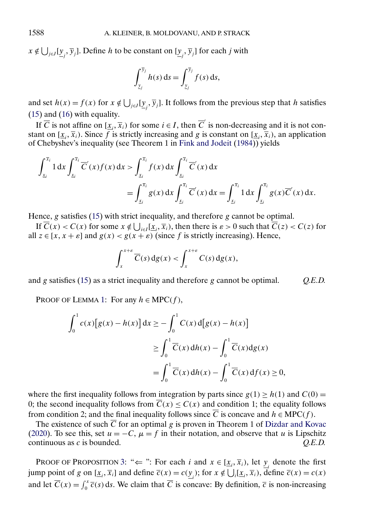<span id="page-31-0"></span> $x \notin \bigcup_{j \in J} [\underline{y}_j, \overline{y}_j]$ . Define h to be constant on  $[\underline{y}_j, \overline{y}_j]$  for each j with

$$
\int_{\underline{y}_j}^{\overline{y}_j} h(s) \, \mathrm{d} s = \int_{\underline{y}_j}^{\overline{y}_j} f(s) \, \mathrm{d} s,
$$

and set  $h(x) = f(x)$  for  $x \notin \bigcup_{j \in J} [\underline{y}_j, \overline{y}_j]$ . It follows from the previous step that h satisfies [\(15\)](#page-30-0) and [\(16\)](#page-30-0) with equality.

If  $\overline{C}$  is not affine on  $[\underline{x}_i, \overline{x}_i)$  for some  $i \in I$ , then  $\overline{C}$  is non-decreasing and it is not constant on  $[\underline{x}_i, \overline{x}_i)$ . Since f is strictly increasing and g is constant on  $[\underline{x}_i, \overline{x}_i)$ , an application of Chebyshev's inequality (see Theorem 1 in [Fink and Jodeit](#page-35-0) [\(1984\)](#page-35-0)) yields

$$
\int_{x_i}^{\overline{x}_i} 1 \, dx \int_{x_i}^{\overline{x}_i} \overline{C}'(x) f(x) \, dx > \int_{x_i}^{\overline{x}_i} f(x) \, dx \int_{x_i}^{\overline{x}_i} \overline{C}'(x) \, dx \n= \int_{x_i}^{\overline{x}_i} g(x) \, dx \int_{x_i}^{\overline{x}_i} \overline{C}'(x) \, dx = \int_{x_i}^{\overline{x}_i} 1 \, dx \int_{x_i}^{\overline{x}_i} g(x) \overline{C}'(x) \, dx.
$$

Hence,  $g$  satisfies [\(15\)](#page-30-0) with strict inequality, and therefore  $g$  cannot be optimal.

If  $\overline{C}(x) < C(x)$  for some  $x \notin \bigcup_{i \in I} [\underline{x}_i, \overline{x}_i]$ , then there is  $\varepsilon > 0$  such that  $\overline{C}(z) < C(z)$  for all  $z \in [x, x + \varepsilon]$  and  $g(x) < g(x + \varepsilon)$  (since f is strictly increasing). Hence,

$$
\int_{x}^{x+\varepsilon} \overline{C}(s) \, dg(x) < \int_{x}^{x+\varepsilon} C(s) \, dg(x),
$$

and g satisfies [\(15\)](#page-30-0) as a strict inequality and therefore g cannot be optimal. *Q.E.D.*

PROOF OF LEMMA [1:](#page-12-0) For any  $h \in \text{MPC}(f)$ ,

$$
\int_0^1 c(x)[g(x) - h(x)] dx \ge -\int_0^1 C(x) d[g(x) - h(x)]
$$
  
\n
$$
\ge \int_0^1 \overline{C}(x) dh(x) - \int_0^1 \overline{C}(x) dg(x)
$$
  
\n
$$
= \int_0^1 \overline{C}(x) dh(x) - \int_0^1 \overline{C}(x) df(x) \ge 0,
$$

where the first inequality follows from integration by parts since  $g(1) \ge h(1)$  and  $C(0) =$ 0; the second inequality follows from  $\overline{C}(x) \leq C(x)$  and condition 1; the equality follows from condition 2; and the final inequality follows since  $\overline{C}$  is concave and  $h \in \text{MPC}(f)$ .

The existence of such  $\overline{C}$  for an optimal g is proven in Theorem 1 of [Dizdar and Kovac](#page-35-0) [\(2020\)](#page-35-0). To see this, set  $u = -C$ ,  $\mu = f$  in their notation, and observe that u is Lipschitz continuous as c is bounded. *Q.E.D.*

PROOF OF PROPOSITION [3:](#page-12-0) " $\Leftarrow$ ": For each *i* and  $x \in [x_i, \overline{x}_i)$ , let  $\underline{y}_i$  denote the first jump point of g on  $[\underline{x}_i, \overline{x}_i]$  and define  $\overline{c}(x) = c(\underline{y}_i)$ ; for  $x \notin \bigcup_i [\underline{x}_i, \overline{x}_i]$ , define  $\overline{c}(x) = c(x)$ and let  $\overline{C}(x) = \int_0^x \overline{c}(s) ds$ . We claim that  $\overline{C}$  is concave: By definition,  $\overline{c}$  is non-increasing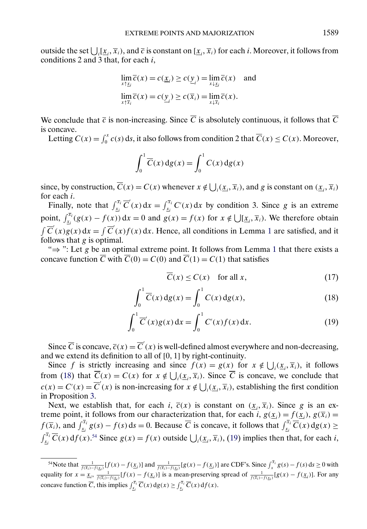<span id="page-32-0"></span>outside the set  $\bigcup_i [\underline{x}_i, \overline{x}_i]$ , and  $\overline{c}$  is constant on  $[\underline{x}_i, \overline{x}_i]$  for each *i*. Moreover, it follows from conditions 2 and 3 that, for each  $i$ ,

$$
\lim_{x \uparrow \underline{x}_i} \overline{c}(x) = c(\underline{x}_i) \ge c(\underline{y}_i) = \lim_{x \downarrow \underline{x}_i} \overline{c}(x) \text{ and}
$$
  

$$
\lim_{x \uparrow \overline{x}_i} \overline{c}(x) = c(\underline{y}_i) \ge c(\overline{x}_i) = \lim_{x \downarrow \overline{x}_i} \overline{c}(x).
$$

We conclude that  $\overline{c}$  is non-increasing. Since  $\overline{C}$  is absolutely continuous, it follows that  $\overline{C}$ is concave.

Letting  $C(x) = \int_0^x c(s) ds$ , it also follows from condition 2 that  $\overline{C}(x) \le C(x)$ . Moreover,

$$
\int_0^1 \overline{C}(x) \, dg(x) = \int_0^1 C(x) \, dg(x)
$$

since, by construction,  $\overline{C}(x) = C(x)$  whenever  $x \notin \bigcup_i (\underline{x}_i, \overline{x}_i)$ , and g is constant on  $(\underline{x}_i, \overline{x}_i)$ for each i.

Finally, note that  $\int_{x_i}^{\bar{x}_i} \overline{C}'(x) dx = \int_{x_i}^{\bar{x}_i} C'(x) dx$  by condition 3. Since g is an extreme point,  $\int_{x_i}^{\bar{x}_i} (g(x) - f(x)) dx = 0$  and  $g(x) = f(x)$  for  $x \notin \bigcup [\underline{x}_i, \overline{x}_i]$ . We therefore obtain  $\int \overline{C}'(x)g(x) dx = \int \overline{C}'(x)f(x) dx$ . Hence, all conditions in Lemma [1](#page-12-0) are satisfied, and it follows that  $g$  is optimal.

" $\Rightarrow$ ": Let g be an optimal extreme point. It follows from Lemma [1](#page-12-0) that there exists a concave function  $\overline{C}$  with  $\overline{C}(0) = C(0)$  and  $\overline{C}(1) = C(1)$  that satisfies

$$
\overline{C}(x) \le C(x) \quad \text{for all } x,\tag{17}
$$

$$
\int_0^1 \overline{C}(x) \, dg(x) = \int_0^1 C(x) \, dg(x),\tag{18}
$$

$$
\int_0^1 \overline{C}'(x)g(x) \, dx = \int_0^1 C'(x)f(x) \, dx. \tag{19}
$$

Since  $\overline{C}$  is concave,  $\overline{c}(x) = \overline{C}'(x)$  is well-defined almost everywhere and non-decreasing, and we extend its definition to all of  $[0, 1]$  by right-continuity.

Since f is strictly increasing and since  $f(x) = g(x)$  for  $x \notin \bigcup_i (\underline{x}_i, \overline{x}_i)$ , it follows from (18) that  $\overline{C}(x) = C(x)$  for  $x \notin \bigcup_i (\underline{x}_i, \overline{x}_i)$ . Since  $\overline{C}$  is concave, we conclude that  $c(x) = \overline{C}'(x) = \overline{C}'(x)$  is non-increasing for  $x \notin \bigcup_i (\underline{x}_i, \overline{x}_i)$ , establishing the first condition in Proposition [3.](#page-12-0)

Next, we establish that, for each i,  $\overline{c}(x)$  is constant on  $(\underline{x}_i, \overline{x}_i)$ . Since g is an extreme point, it follows from our characterization that, for each i,  $g(\underline{x}_i) = f(\underline{x}_i)$ ,  $g(\overline{x}_i) =$  $f(\overline{x}_i)$ , and  $\int_{\underline{x}_i}^{\overline{x}_i} g(s) - f(s) ds = 0$ . Because  $\overline{C}$  is concave, it follows that  $\int_{\underline{x}_i}^{\overline{x}_i} \overline{C}(x) dg(x) \ge$  $\int_{x_i}^{\bar{x}_i} \overline{C}(x) df(x).^{54}$  Since  $g(x) = f(x)$  outside  $\bigcup_i (\underline{x}_i, \overline{x}_i),$  (19) implies then that, for each *i*,

<sup>&</sup>lt;sup>54</sup>Note that  $\frac{1}{f(\bar{x}_i)-f(\underline{x}_i)}[f(x)-f(\underline{x}_i)]$  and  $\frac{1}{f(\bar{x}_i)-f(\underline{x}_i)}[g(x)-f(\underline{x}_i)]$  are CDF's. Since  $\int_x^{\bar{x}_i} g(s)-f(s) ds \ge 0$  with equality for  $x = \underline{x}_i$ ,  $\frac{1}{f(\overline{x}_i) - f(\underline{x}_i)} [f(x) - f(\underline{x}_i)]$  is a mean-preserving spread of  $\frac{1}{f(\overline{x}_i) - f(\underline{x}_i)} [g(x) - f(\underline{x}_i)]$ . For any concave function  $\overline{C}$ , this implies  $\int_{x_i}^{\overline{x}_i} \overline{C}(x) dg(x) \ge \int_{x_i}^{\overline{x}_i} \overline{C}(x) df(x)$ .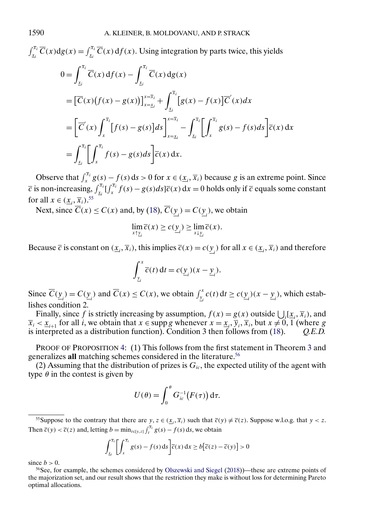<span id="page-33-0"></span> $\int_{x_i}^{\overline{x}_i} \overline{C}(x) dg(x) = \int_{x_i}^{\overline{x}_i} \overline{C}(x) df(x)$ . Using integration by parts twice, this yields  $0 = \int_0^{\overline{x}_i}$ xi  $\overline{C}(x) df(x) - \int_{}^{\overline{x}_i}$ xi  $C(x)$  dg(x)  $=\left[\overline{C}(x)\big(f(x)-g(x)\big)\right]_{x=\underline{x}_i}^{x=\overline{x}_i}+\int_{x_i}^{\overline{x}_i}$ xi  $[g(x) - f(x)]\overline{C}'(x)dx$ =  $\left[\overline{C}\right]$  $(x)$  $\int_0^{\overline{x}_i}$ x  $\left[f(s)-g(s)\right]ds\Big]^{x=\overline{x}_i}$  $x = x_i$  $-\int^{\overline{x}_i}$ xi  $\int \overline{x_i}$ x  $g(s) - f(s)ds \left[ \overline{c}(x) dx \right]$  $=$  $\int_0^{\overline{x}_i}$ xi  $\int \overline{f}^{\overline{x}_i}$ x  $f(s) - g(s)ds \left[ \overline{c}(x) dx \right]$ .

Observe that  $\int_x^{\bar{x}_i} g(s) - f(s) ds > 0$  for  $x \in (\underline{x}_i, \overline{x}_i)$  because g is an extreme point. Since  $\overline{c}$  is non-increasing,  $\int_{x_i}^{\overline{x}_i} \int_{x_i}^{\overline{x}_i} f(s) - g(s)ds \overline{c}(x) dx = 0$  holds only if  $\overline{c}$  equals some constant for all  $x \in (\underline{x}_i, \overline{x}_i).$ <sup>55</sup>

Next, since  $C(x) \leq C(x)$  and, by [\(18\)](#page-32-0),  $C(\underline{y}_i) = C(\underline{y}_i)$ , we obtain

$$
\lim_{x \uparrow \underline{y}_i} \overline{c}(x) \geq c(\underline{y}_i) \geq \lim_{x \downarrow \underline{y}_i} \overline{c}(x).
$$

Because  $\overline{c}$  is constant on  $(\underline{x}_i, \overline{x}_i)$ , this implies  $\overline{c}(x) = c(\underline{y}_i)$  for all  $x \in (\underline{x}_i, \overline{x}_i)$  and therefore

$$
\int_{\underline{y}_i}^x \overline{c}(t) dt = c(\underline{y}_i)(x - \underline{y}_i).
$$

Since  $\overline{C}(\underline{y}_i) = C(\underline{y}_i)$  and  $\overline{C}(x) \le C(x)$ , we obtain  $\int_{\underline{y}_i}^x c(t) dt \ge c(\underline{y}_i)(x - \underline{y}_i)$ , which establishes condition 2.

Finally, since f is strictly increasing by assumption,  $f(x) = g(x)$  outside  $\bigcup_i [\underline{x}_i, \overline{x}_i)$ , and  $\overline{x}_i < \underline{x}_{i+1}$  for all *i*, we obtain that  $x \in \text{supp } g$  whenever  $x = \underline{x}_i$ ,  $\overline{y}_i$ ,  $\overline{x}_i$ , but  $x \neq 0, 1$  (where g is interpreted as a distribution function). Condition 3 then follows from [\(18\)](#page-32-0). *Q.E.D.*

PROOF OF PROPOSITION [4:](#page-14-0) (1) This follows from the first statement in Theorem [3](#page-8-0) and generalizes all matching schemes considered in the literature.<sup>56</sup>

(2) Assuming that the distribution of prizes is  $G_{ic}$ , the expected utility of the agent with type  $\theta$  in the contest is given by

$$
U(\theta) = \int_0^{\theta} G_{ic}^{-1}(F(\tau)) d\tau.
$$

<sup>55</sup>Suppose to the contrary that there are  $y, z \in (\underline{x}_i, \overline{x}_i)$  such that  $\overline{c}(y) \neq \overline{c}(z)$ . Suppose w.l.o.g. that  $y < z$ . Then  $\overline{c}(y) < \overline{c}(z)$  and, letting  $b = \min_{t \in [y, z]} \int_t^{\overline{x}_i} g(s) - f(s) \, ds$ , we obtain

$$
\int_{\underline{x}_i}^{\overline{x}_i} \left[ \int_x^{\overline{x}_i} g(s) - f(s) \, ds \right] \overline{c}(x) \, dx \ge b \left[ \overline{c}(z) - \overline{c}(y) \right] > 0
$$

since  $b > 0$ .

<sup>56</sup>See, for example, the schemes considered by [Olszewski and Siegel](#page-36-0) [\(2018\)](#page-36-0))—these are extreme points of the majorization set, and our result shows that the restriction they make is without loss for determining Pareto optimal allocations.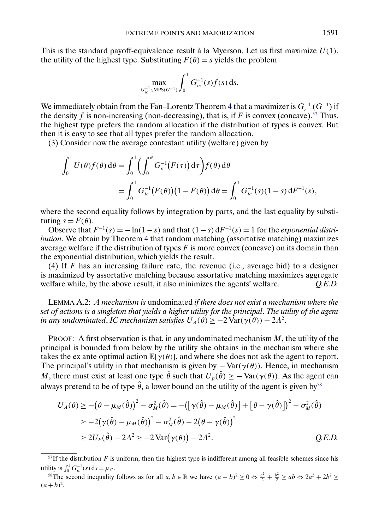<span id="page-34-0"></span>This is the standard payoff-equivalence result à la Myerson. Let us first maximize  $U(1)$ , the utility of the highest type. Substituting  $F(\theta) = s$  yields the problem

$$
\max_{G_{ic}^{-1} \in \text{MPS}(G^{-1})} \int_0^1 G_{ic}^{-1}(s) f(s) \, ds.
$$

We immediately obtain from the Fan–Lorentz Theorem [4](#page-10-0) that a maximizer is  $G_r^{-1}$   $(G^{-1})$  if the density f is non-increasing (non-decreasing), that is, if F is convex (concave).<sup>57</sup> Thus, the highest type prefers the random allocation if the distribution of types is convex. But then it is easy to see that all types prefer the random allocation.

(3) Consider now the average contestant utility (welfare) given by

$$
\int_0^1 U(\theta) f(\theta) d\theta = \int_0^1 \left( \int_0^{\theta} G_{ic}^{-1}(F(\tau)) d\tau \right) f(\theta) d\theta
$$
  
= 
$$
\int_0^1 G_{ic}^{-1}(F(\theta)) (1 - F(\theta)) d\theta = \int_0^1 G_{ic}^{-1}(s) (1 - s) dF^{-1}(s),
$$

where the second equality follows by integration by parts, and the last equality by substituting  $s = F(\theta)$ .

Observe that  $F^{-1}(s) = -\ln(1-s)$  and that  $(1-s) dF^{-1}(s) = 1$  for the *exponential distribution*. We obtain by Theorem [4](#page-10-0) that random matching (assortative matching) maximizes average welfare if the distribution of types  $F$  is more convex (concave) on its domain than the exponential distribution, which yields the result.

(4) If  $F$  has an increasing failure rate, the revenue (i.e., average bid) to a designer is maximized by assortative matching because assortative matching maximizes aggregate welfare while, by the above result, it also minimizes the agents' welfare. *Q.E.D.*

LEMMA A.2: *A mechanism is* undominated *if there does not exist a mechanism where the set of actions is a singleton that yields a higher utility for the principal*. *The utility of the agent in any undominated, IC mechanism satisfies*  $U_A(\theta) \geq -2 \text{Var}(\gamma(\theta)) - 2\Lambda^2$ .

PROOF: A first observation is that, in any undominated mechanism  $M$ , the utility of the principal is bounded from below by the utility she obtains in the mechanism where she takes the ex ante optimal action  $\mathbb{E}[\gamma(\theta)]$ , and where she does not ask the agent to report. The principal's utility in that mechanism is given by  $-\text{Var}(\gamma(\theta))$ . Hence, in mechanism M, there must exist at least one type  $\hat{\theta}$  such that  $U_p(\hat{\theta}) \ge -\text{Var}(\gamma(\theta))$ . As the agent can always pretend to be of type  $\hat{\theta}$ , a lower bound on the utility of the agent is given by<sup>58</sup>

$$
U_A(\theta) \ge -(\theta - \mu_M(\hat{\theta}))^2 - \sigma_M^2(\hat{\theta}) = -([\gamma(\hat{\theta}) - \mu_M(\hat{\theta})] + [\theta - \gamma(\hat{\theta})])^2 - \sigma_M^2(\hat{\theta})
$$
  
\n
$$
\ge -2(\gamma(\hat{\theta}) - \mu_M(\hat{\theta}))^2 - \sigma_M^2(\hat{\theta}) - 2(\theta - \gamma(\hat{\theta}))^2
$$
  
\n
$$
\ge 2U_P(\hat{\theta}) - 2\Lambda^2 \ge -2\operatorname{Var}(\gamma(\theta)) - 2\Lambda^2.
$$
 Q.E.D.

 $57$ If the distribution F is uniform, then the highest type is indifferent among all feasible schemes since his utility is  $\int_0^1 G_{ic}^{-1}(s) ds = \mu_G$ .

<sup>&</sup>lt;sup>58</sup>The second inequality follows as for all  $a, b \in \mathbb{R}$  we have  $(a - b)^2 \ge 0 \Leftrightarrow \frac{a^2}{2} + \frac{b^2}{2} \ge ab \Leftrightarrow 2a^2 + 2b^2 \ge$  $(a + b)^2$ .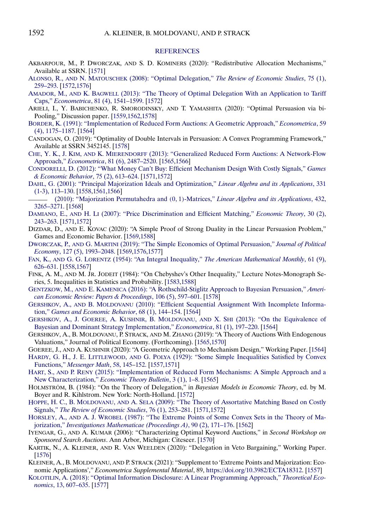#### **[REFERENCES](http://www.e-publications.org/srv/ecta/linkserver/setprefs?rfe_id=urn:sici%2F0012-9682%282021%2989%3A4%3C1557%3AEPAMEA%3E2.0.CO%3B2-F)**

- <span id="page-35-0"></span>AKBARPOUR, M., P. DWORCZAK, AND S. D. KOMINERS (2020): "Redistributive Allocation Mechanisms," Available at SSRN. [\[1571\]](#page-14-0)
- ALONSO, R., AND N. MATOUSCHEK (2008): "Optimal Delegation," *[The Review of Economic Studies](http://www.e-publications.org/srv/ecta/linkserver/openurl?rft_dat=bib:2/alonso&rfe_id=urn:sici%2F0012-9682%282021%2989%3A4%3C1557%3AEPAMEA%3E2.0.CO%3B2-F)*, 75 (1), [259–293.](http://www.e-publications.org/srv/ecta/linkserver/openurl?rft_dat=bib:2/alonso&rfe_id=urn:sici%2F0012-9682%282021%2989%3A4%3C1557%3AEPAMEA%3E2.0.CO%3B2-F) [\[1572](#page-15-0)[,1576\]](#page-19-0)
- AMADOR, M., AND K. BAGWELL [\(2013\): "The Theory of Optimal Delegation With an Application to Tariff](http://www.e-publications.org/srv/ecta/linkserver/openurl?rft_dat=bib:3/amador&rfe_id=urn:sici%2F0012-9682%282021%2989%3A4%3C1557%3AEPAMEA%3E2.0.CO%3B2-F) Caps," *Econometrica*[, 81 \(4\), 1541–1599.](http://www.e-publications.org/srv/ecta/linkserver/openurl?rft_dat=bib:3/amador&rfe_id=urn:sici%2F0012-9682%282021%2989%3A4%3C1557%3AEPAMEA%3E2.0.CO%3B2-F) [\[1572\]](#page-15-0)
- ARIELI, I., Y. BABICHENKO, R. SMORODINSKY, AND T. YAMASHITA (2020): "Optimal Persuasion via bi-Pooling," Discussion paper. [\[1559,](#page-2-0)[1562,](#page-5-0)[1578\]](#page-21-0)
- [BORDER, K. \(1991\): "Implementation of Reduced Form Auctions: A Geometric Approach,"](http://www.e-publications.org/srv/ecta/linkserver/openurl?rft_dat=bib:5/border&rfe_id=urn:sici%2F0012-9682%282021%2989%3A4%3C1557%3AEPAMEA%3E2.0.CO%3B2-F) *Econometrica*, 59 [\(4\), 1175–1187.](http://www.e-publications.org/srv/ecta/linkserver/openurl?rft_dat=bib:5/border&rfe_id=urn:sici%2F0012-9682%282021%2989%3A4%3C1557%3AEPAMEA%3E2.0.CO%3B2-F) [\[1564\]](#page-7-0)
- CANDOGAN, O. (2019): "Optimality of Double Intervals in Persuasion: A Convex Programming Framework," Available at SSRN 3452145. [\[1578\]](#page-21-0)
- CHE, Y. K., J. KIM, AND K. MIERENDORFF [\(2013\): "Generalized Reduced Form Auctions: A Network-Flow](http://www.e-publications.org/srv/ecta/linkserver/openurl?rft_dat=bib:7/chekim&rfe_id=urn:sici%2F0012-9682%282021%2989%3A4%3C1557%3AEPAMEA%3E2.0.CO%3B2-F) Approach," *Econometrica*[, 81 \(6\), 2487–2520.](http://www.e-publications.org/srv/ecta/linkserver/openurl?rft_dat=bib:7/chekim&rfe_id=urn:sici%2F0012-9682%282021%2989%3A4%3C1557%3AEPAMEA%3E2.0.CO%3B2-F) [\[1565,](#page-8-0)[1566\]](#page-9-0)
- [CONDORELLI, D. \(2012\): "What Money Can't Buy: Efficient Mechanism Design With Costly Signals,"](http://www.e-publications.org/srv/ecta/linkserver/openurl?rft_dat=bib:8/Condoreli&rfe_id=urn:sici%2F0012-9682%282021%2989%3A4%3C1557%3AEPAMEA%3E2.0.CO%3B2-F) *Games [& Economic Behavior](http://www.e-publications.org/srv/ecta/linkserver/openurl?rft_dat=bib:8/Condoreli&rfe_id=urn:sici%2F0012-9682%282021%2989%3A4%3C1557%3AEPAMEA%3E2.0.CO%3B2-F)*, 75 (2), 613–624. [\[1571](#page-14-0)[,1572\]](#page-15-0)
- [DAHL, G. \(2001\): "Principal Majorization Ideals and Optimization,"](http://www.e-publications.org/srv/ecta/linkserver/openurl?rft_dat=bib:9/dahl&rfe_id=urn:sici%2F0012-9682%282021%2989%3A4%3C1557%3AEPAMEA%3E2.0.CO%3B2-F) *Linear Algebra and its Applications*, 331 [\(1-3\), 113–130.](http://www.e-publications.org/srv/ecta/linkserver/openurl?rft_dat=bib:9/dahl&rfe_id=urn:sici%2F0012-9682%282021%2989%3A4%3C1557%3AEPAMEA%3E2.0.CO%3B2-F) [\[1558](#page-1-0)[,1561](#page-4-0)[,1566\]](#page-9-0)
- [\(2010\): "Majorization Permutahedra and](http://www.e-publications.org/srv/ecta/linkserver/openurl?rft_dat=bib:10/dahl2010&rfe_id=urn:sici%2F0012-9682%282021%2989%3A4%3C1557%3AEPAMEA%3E2.0.CO%3B2-F) (0, 1)-Matrices," *Linear Algebra and its Applications*, 432, [3265–3271.](http://www.e-publications.org/srv/ecta/linkserver/openurl?rft_dat=bib:10/dahl2010&rfe_id=urn:sici%2F0012-9682%282021%2989%3A4%3C1557%3AEPAMEA%3E2.0.CO%3B2-F) [\[1568\]](#page-11-0)
- DAMIANO, E., AND H. LI [\(2007\): "Price Discrimination and Efficient Matching,"](http://www.e-publications.org/srv/ecta/linkserver/openurl?rft_dat=bib:11/damiano&rfe_id=urn:sici%2F0012-9682%282021%2989%3A4%3C1557%3AEPAMEA%3E2.0.CO%3B2-F) *Economic Theory*, 30 (2), [243–263.](http://www.e-publications.org/srv/ecta/linkserver/openurl?rft_dat=bib:11/damiano&rfe_id=urn:sici%2F0012-9682%282021%2989%3A4%3C1557%3AEPAMEA%3E2.0.CO%3B2-F) [\[1571](#page-14-0)[,1572\]](#page-15-0)
- DIZDAR, D., AND E. KOVAC (2020): "A Simple Proof of Strong Duality in the Linear Persuasion Problem," Games and Economic Behavior. [\[1569,](#page-12-0)[1588\]](#page-31-0)
- DWORCZAK, P., AND G. MARTINI [\(2019\): "The Simple Economics of Optimal Persuasion,"](http://www.e-publications.org/srv/ecta/linkserver/openurl?rft_dat=bib:13/dworczak&rfe_id=urn:sici%2F0012-9682%282021%2989%3A4%3C1557%3AEPAMEA%3E2.0.CO%3B2-F) *Journal of Political Economy*[, 127 \(5\), 1993–2048.](http://www.e-publications.org/srv/ecta/linkserver/openurl?rft_dat=bib:13/dworczak&rfe_id=urn:sici%2F0012-9682%282021%2989%3A4%3C1557%3AEPAMEA%3E2.0.CO%3B2-F) [\[1569,](#page-12-0)[1576,](#page-19-0)[1577\]](#page-20-0)
- FAN, K., AND G. G. LORENTZ (1954): "An Integral Inequality," *[The American Mathematical Monthly](http://www.e-publications.org/srv/ecta/linkserver/openurl?rft_dat=bib:14/fanlorenz&rfe_id=urn:sici%2F0012-9682%282021%2989%3A4%3C1557%3AEPAMEA%3E2.0.CO%3B2-F)*, 61 (9), [626–631.](http://www.e-publications.org/srv/ecta/linkserver/openurl?rft_dat=bib:14/fanlorenz&rfe_id=urn:sici%2F0012-9682%282021%2989%3A4%3C1557%3AEPAMEA%3E2.0.CO%3B2-F) [\[1558](#page-1-0)[,1567\]](#page-10-0)
- FINK, A. M., AND M. JR. JODEIT (1984): "On Chebyshev's Other Inequality," Lecture Notes-Monograph Series, 5. Inequalities in Statistics and Probability. [\[1583,](#page-26-0)[1588\]](#page-31-0)
- GENTZKOW, M., AND E. KAMENICA [\(2016\): "A Rothschild-Stiglitz Approach to Bayesian Persuasion,"](http://www.e-publications.org/srv/ecta/linkserver/openurl?rft_dat=bib:16/gentzkow&rfe_id=urn:sici%2F0012-9682%282021%2989%3A4%3C1557%3AEPAMEA%3E2.0.CO%3B2-F) *Ameri[can Economic Review: Papers & Proceedings](http://www.e-publications.org/srv/ecta/linkserver/openurl?rft_dat=bib:16/gentzkow&rfe_id=urn:sici%2F0012-9682%282021%2989%3A4%3C1557%3AEPAMEA%3E2.0.CO%3B2-F)*, 106 (5), 597–601. [\[1578\]](#page-21-0)
- GERSHKOV, A., AND B. MOLDOVANU [\(2010\): "Efficient Sequential Assignment With Incomplete Informa](http://www.e-publications.org/srv/ecta/linkserver/openurl?rft_dat=bib:17/GershMold&rfe_id=urn:sici%2F0012-9682%282021%2989%3A4%3C1557%3AEPAMEA%3E2.0.CO%3B2-F)tion," *[Games and Economic Behavior](http://www.e-publications.org/srv/ecta/linkserver/openurl?rft_dat=bib:17/GershMold&rfe_id=urn:sici%2F0012-9682%282021%2989%3A4%3C1557%3AEPAMEA%3E2.0.CO%3B2-F)*, 68 (1), 144–154. [\[1564\]](#page-7-0)
- [GERSHKOV, A., J. GOEREE, A. KUSHNIR, B. MOLDOVANU,](http://www.e-publications.org/srv/ecta/linkserver/openurl?rft_dat=bib:18/gersh&rfe_id=urn:sici%2F0012-9682%282021%2989%3A4%3C1557%3AEPAMEA%3E2.0.CO%3B2-F) AND X. SHI (2013): "On the Equivalence of [Bayesian and Dominant Strategy Implementation,"](http://www.e-publications.org/srv/ecta/linkserver/openurl?rft_dat=bib:18/gersh&rfe_id=urn:sici%2F0012-9682%282021%2989%3A4%3C1557%3AEPAMEA%3E2.0.CO%3B2-F) *Econometrica*, 81 (1), 197–220. [\[1564\]](#page-7-0)
- GERSHKOV, A., B. MOLDOVANU, P. STRACK, AND M. ZHANG (2019): "A Theory of Auctions With Endogenous Valuations," Journal of Political Economy. (Forthcoming). [\[1565,](#page-8-0)[1570\]](#page-13-0)
- GOEREE, J., AND A. KUSHNIR (2020): "A Geometric Approach to Mechanism Design," Working Paper. [\[1564\]](#page-7-0)
- HARDY, G. H., J. E. LITTLEWOOD, AND G. POLYA [\(1929\): "Some Simple Inequalities Satisfied by Convex](http://www.e-publications.org/srv/ecta/linkserver/openurl?rft_dat=bib:21/hardy-littlewood-polya&rfe_id=urn:sici%2F0012-9682%282021%2989%3A4%3C1557%3AEPAMEA%3E2.0.CO%3B2-F) Functions," *[Messenger Math](http://www.e-publications.org/srv/ecta/linkserver/openurl?rft_dat=bib:21/hardy-littlewood-polya&rfe_id=urn:sici%2F0012-9682%282021%2989%3A4%3C1557%3AEPAMEA%3E2.0.CO%3B2-F)*, 58, 145–152. [\[1557](#page-0-0)[,1571\]](#page-14-0)
- HART, S., AND P. RENY [\(2015\): "Implementation of Reduced Form Mechanisms: A Simple Approach and a](http://www.e-publications.org/srv/ecta/linkserver/openurl?rft_dat=bib:22/Hare&rfe_id=urn:sici%2F0012-9682%282021%2989%3A4%3C1557%3AEPAMEA%3E2.0.CO%3B2-F) New Characterization," *[Economic Theory Bulletin](http://www.e-publications.org/srv/ecta/linkserver/openurl?rft_dat=bib:22/Hare&rfe_id=urn:sici%2F0012-9682%282021%2989%3A4%3C1557%3AEPAMEA%3E2.0.CO%3B2-F)*, 3 (1), 1–8. [\[1565\]](#page-8-0)
- HOLMSTRÖM, B. (1984): "On the Theory of Delegation," in *Bayesian Models in Economic Theory*, ed. by M. Boyer and R. Kihlstrom. New York: North-Holland. [\[1572\]](#page-15-0)
- HOPPE, H. C., B. MOLDOVANU, AND A. SELA [\(2009\): "The Theory of Assortative Matching Based on Costly](http://www.e-publications.org/srv/ecta/linkserver/openurl?rft_dat=bib:24/hms&rfe_id=urn:sici%2F0012-9682%282021%2989%3A4%3C1557%3AEPAMEA%3E2.0.CO%3B2-F) Signals," *[The Review of Economic Studies](http://www.e-publications.org/srv/ecta/linkserver/openurl?rft_dat=bib:24/hms&rfe_id=urn:sici%2F0012-9682%282021%2989%3A4%3C1557%3AEPAMEA%3E2.0.CO%3B2-F)*, 76 (1), 253–281. [\[1571,](#page-14-0)[1572\]](#page-15-0)
- HORSLEY, A., AND A. J. WROBEL [\(1987\): "The Extreme Points of Some Convex Sets in the Theory of Ma](http://www.e-publications.org/srv/ecta/linkserver/openurl?rft_dat=bib:25/Horsley&rfe_id=urn:sici%2F0012-9682%282021%2989%3A4%3C1557%3AEPAMEA%3E2.0.CO%3B2-F)jorization," *[Investigationes Mathematicae \(Proceedings A\)](http://www.e-publications.org/srv/ecta/linkserver/openurl?rft_dat=bib:25/Horsley&rfe_id=urn:sici%2F0012-9682%282021%2989%3A4%3C1557%3AEPAMEA%3E2.0.CO%3B2-F)*, 90 (2), 171–176. [\[1562\]](#page-5-0)
- IYENGAR, G., AND A. KUMAR (2006): "Characterizing Optimal Keyword Auctions," in *Second Workshop on Sponsored Search Auctions*. Ann Arbor, Michigan: Citeseer. [\[1570\]](#page-13-0)
- KARTIK, N., A. KLEINER, AND R. VAN WEELDEN (2020): "Delegation in Veto Bargaining," Working Paper. [\[1576\]](#page-19-0)
- KLEINER, A., B. MOLDOVANU, AND P. STRACK (2021): "Supplement to 'Extreme Points and Majorization: Economic Applications'," *Econometrica Supplemental Material*, 89, <https://doi.org/10.3982/ECTA18312>. [\[1557\]](#page-0-0)
- [KOLOTILIN, A. \(2018\): "Optimal Information Disclosure: A Linear Programming Approach,"](http://www.e-publications.org/srv/ecta/linkserver/openurl?rft_dat=bib:29/Kolotilin&rfe_id=urn:sici%2F0012-9682%282021%2989%3A4%3C1557%3AEPAMEA%3E2.0.CO%3B2-F) *Theoretical Economics*[, 13, 607–635.](http://www.e-publications.org/srv/ecta/linkserver/openurl?rft_dat=bib:29/Kolotilin&rfe_id=urn:sici%2F0012-9682%282021%2989%3A4%3C1557%3AEPAMEA%3E2.0.CO%3B2-F) [\[1577\]](#page-20-0)